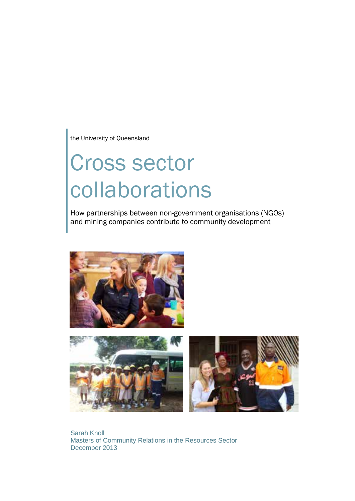the University of Queensland

# Cross sector collaborations

How partnerships between non-government organisations (NGOs) and mining companies contribute to community development



Sarah Knoll Masters of Community Relations in the Resources Sector December 2013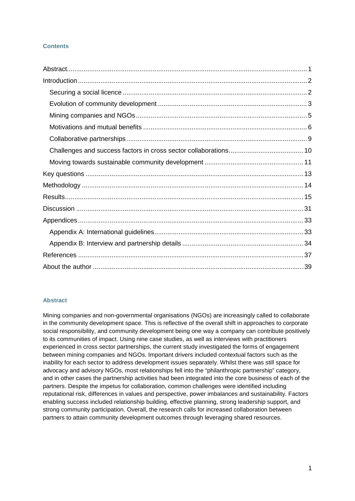# **Contents**

# <span id="page-1-0"></span>**Abstract**

Mining companies and non-governmental organisations (NGOs) are increasingly called to collaborate in the community development space. This is reflective of the overall shift in approaches to corporate social responsibility, and community development being one way a company can contribute positively to its communities of impact. Using nine case studies, as well as interviews with practitioners experienced in cross sector partnerships, the current study investigated the forms of engagement between mining companies and NGOs. Important drivers included contextual factors such as the inability for each sector to address development issues separately. Whilst there was still space for advocacy and advisory NGOs, most relationships fell into the "philanthropic partnership" category, and in other cases the partnership activities had been integrated into the core business of each of the partners. Despite the impetus for collaboration, common challenges were identified including reputational risk, differences in values and perspective, power imbalances and sustainability. Factors enabling success included relationship building, effective planning, strong leadership support, and strong community participation. Overall, the research calls for increased collaboration between partners to attain community development outcomes through leveraging shared resources.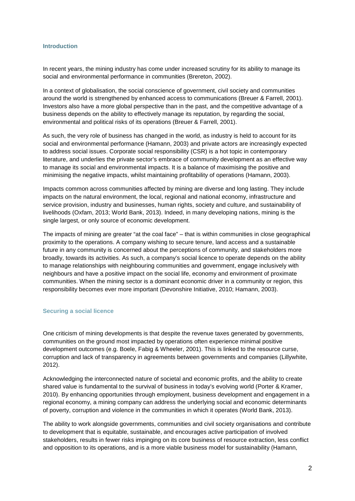#### <span id="page-2-0"></span>**Introduction**

In recent years, the mining industry has come under increased scrutiny for its ability to manage its social and environmental performance in communities (Brereton, 2002).

In a context of globalisation, the social conscience of government, civil society and communities around the world is strengthened by enhanced access to communications (Breuer & Farrell, 2001). Investors also have a more global perspective than in the past, and the competitive advantage of a business depends on the ability to effectively manage its reputation, by regarding the social, environmental and political risks of its operations (Breuer & Farrell, 2001).

As such, the very role of business has changed in the world, as industry is held to account for its social and environmental performance (Hamann, 2003) and private actors are increasingly expected to address social issues. Corporate social responsibility (CSR) is a hot topic in contemporary literature, and underlies the private sector's embrace of community development as an effective way to manage its social and environmental impacts. It is a balance of maximising the positive and minimising the negative impacts, whilst maintaining profitability of operations (Hamann, 2003).

Impacts common across communities affected by mining are diverse and long lasting. They include impacts on the natural environment, the local, regional and national economy, infrastructure and service provision, industry and businesses, human rights, society and culture, and sustainability of livelihoods (Oxfam, 2013; World Bank, 2013). Indeed, in many developing nations, mining is the single largest, or only source of economic development.

The impacts of mining are greater "at the coal face" – that is within communities in close geographical proximity to the operations. A company wishing to secure tenure, land access and a sustainable future in any community is concerned about the perceptions of community, and stakeholders more broadly, towards its activities. As such, a company's social licence to operate depends on the ability to manage relationships with neighbouring communities and government, engage inclusively with neighbours and have a positive impact on the social life, economy and environment of proximate communities. When the mining sector is a dominant economic driver in a community or region, this responsibility becomes ever more important (Devonshire Initiative, 2010; Hamann, 2003).

#### <span id="page-2-1"></span>**Securing a social licence**

One criticism of mining developments is that despite the revenue taxes generated by governments, communities on the ground most impacted by operations often experience minimal positive development outcomes (e.g. Boele, Fabig & Wheeler, 2001). This is linked to the resource curse, corruption and lack of transparency in agreements between governments and companies (Lillywhite, 2012).

Acknowledging the interconnected nature of societal and economic profits, and the ability to create shared value is fundamental to the survival of business in today's evolving world (Porter & Kramer, 2010). By enhancing opportunities through employment, business development and engagement in a regional economy, a mining company can address the underlying social and economic determinants of poverty, corruption and violence in the communities in which it operates (World Bank, 2013).

The ability to work alongside governments, communities and civil society organisations and contribute to development that is equitable, sustainable, and encourages active participation of involved stakeholders, results in fewer risks impinging on its core business of resource extraction, less conflict and opposition to its operations, and is a more viable business model for sustainability (Hamann,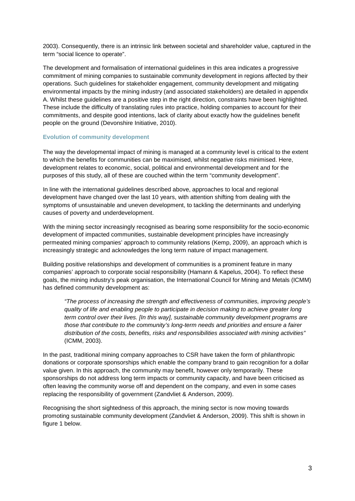2003). Consequently, there is an intrinsic link between societal and shareholder value, captured in the term "social licence to operate".

The development and formalisation of international guidelines in this area indicates a progressive commitment of mining companies to sustainable community development in regions affected by their operations. Such guidelines for stakeholder engagement, community development and mitigating environmental impacts by the mining industry (and associated stakeholders) are detailed in appendix A. Whilst these guidelines are a positive step in the right direction, constraints have been highlighted. These include the difficulty of translating rules into practice, holding companies to account for their commitments, and despite good intentions, lack of clarity about exactly how the guidelines benefit people on the ground (Devonshire Initiative, 2010).

#### <span id="page-3-0"></span>**Evolution of community development**

The way the developmental impact of mining is managed at a community level is critical to the extent to which the benefits for communities can be maximised, whilst negative risks minimised. Here, development relates to economic, social, political and environmental development and for the purposes of this study, all of these are couched within the term "community development".

In line with the international guidelines described above, approaches to local and regional development have changed over the last 10 years, with attention shifting from dealing with the symptoms of unsustainable and uneven development, to tackling the determinants and underlying causes of poverty and underdevelopment.

With the mining sector increasingly recognised as bearing some responsibility for the socio-economic development of impacted communities, sustainable development principles have increasingly permeated mining companies' approach to community relations (Kemp, 2009), an approach which is increasingly strategic and acknowledges the long term nature of impact management.

Building positive relationships and development of communities is a prominent feature in many companies' approach to corporate social responsibility (Hamann & Kapelus, 2004). To reflect these goals, the mining industry's peak organisation, the International Council for Mining and Metals (ICMM) has defined community development as:

*"The process of increasing the strength and effectiveness of communities, improving people's quality of life and enabling people to participate in decision making to achieve greater long term control over their lives. [In this way], sustainable community development programs are those that contribute to the community's long-term needs and priorities and ensure a fairer distribution of the costs, benefits, risks and responsibilities associated with mining activities"*  (ICMM, 2003).

In the past, traditional mining company approaches to CSR have taken the form of philanthropic donations or corporate sponsorships which enable the company brand to gain recognition for a dollar value given. In this approach, the community may benefit, however only temporarily. These sponsorships do not address long term impacts or community capacity, and have been criticised as often leaving the community worse off and dependent on the company, and even in some cases replacing the responsibility of government (Zandvliet & Anderson, 2009).

Recognising the short sightedness of this approach, the mining sector is now moving towards promoting sustainable community development (Zandvliet & Anderson, 2009). This shift is shown in figure 1 below.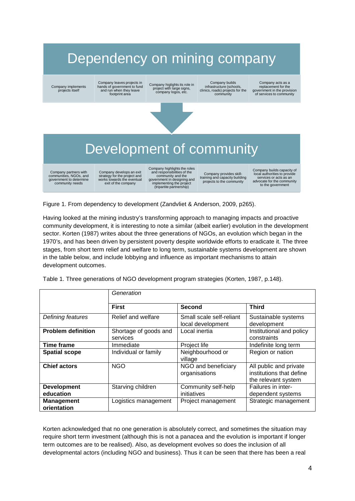# Dependency on mining company

Company implements projects itself

Company leaves projects in hands of government to fund and run when they leave footprint area

Company higlights its role in project with large signs, company logos, etc.

Company builds infrastructure (schools, clinics, roads) projects for the community

Company acts as a replacement for the government in the provision of services to community



# Development of community

Company partners with communities, NGOs, and government to determine community needs

Company develops an exit strategy for the project and works towards the eventual exit of the company

Company highlights the roles and responsibilities of the community and the government in designing and implementing the project (tripartite partnership)

Company provides skill-training and capacity building projects to the community

Company builds capacity of local authorities to provide services or acts as an advocate for the community to the government

Figure 1. From dependency to development (Zandvliet & Anderson, 2009, p265).

Having looked at the mining industry's transforming approach to managing impacts and proactive community development, it is interesting to note a similar (albeit earlier) evolution in the development sector. Korten (1987) writes about the three generations of NGOs, an evolution which began in the 1970's, and has been driven by persistent poverty despite worldwide efforts to eradicate it. The three stages, from short term relief and welfare to long term, sustainable systems development are shown in the table below, and include lobbying and influence as important mechanisms to attain development outcomes.

|                                  | Generation                        |                                               |                                                                           |  |  |  |
|----------------------------------|-----------------------------------|-----------------------------------------------|---------------------------------------------------------------------------|--|--|--|
|                                  | <b>First</b>                      | <b>Second</b>                                 | <b>Third</b>                                                              |  |  |  |
| Defining features                | Relief and welfare                | Small scale self-reliant<br>local development | Sustainable systems<br>development                                        |  |  |  |
| <b>Problem definition</b>        | Shortage of goods and<br>services | Local inertia                                 | Institutional and policy<br>constraints                                   |  |  |  |
| <b>Time frame</b>                | Immediate                         | Project life                                  | Indefinite long term                                                      |  |  |  |
| <b>Spatial scope</b>             | Individual or family              | Neighbourhood or<br>village                   | Region or nation                                                          |  |  |  |
| <b>Chief actors</b>              | <b>NGO</b>                        | NGO and beneficiary<br>organisations          | All public and private<br>institutions that define<br>the relevant system |  |  |  |
| <b>Development</b><br>education  | Starving children                 | Community self-help<br>initiatives            | Failures in inter-<br>dependent systems                                   |  |  |  |
| <b>Management</b><br>orientation | Logistics management              | Project management                            | Strategic management                                                      |  |  |  |

Table 1. Three generations of NGO development program strategies (Korten, 1987, p.148).

Korten acknowledged that no one generation is absolutely correct, and sometimes the situation may require short term investment (although this is not a panacea and the evolution is important if longer term outcomes are to be realised). Also, as development evolves so does the inclusion of all developmental actors (including NGO and business). Thus it can be seen that there has been a real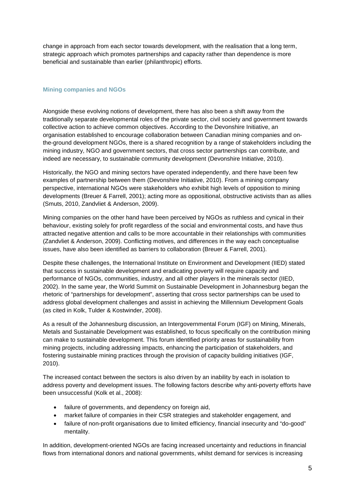change in approach from each sector towards development, with the realisation that a long term, strategic approach which promotes partnerships and capacity rather than dependence is more beneficial and sustainable than earlier (philanthropic) efforts.

# <span id="page-5-0"></span>**Mining companies and NGOs**

Alongside these evolving notions of development, there has also been a shift away from the traditionally separate developmental roles of the private sector, civil society and government towards collective action to achieve common objectives. According to the Devonshire Initiative, an organisation established to encourage collaboration between Canadian mining companies and onthe-ground development NGOs, there is a shared recognition by a range of stakeholders including the mining industry, NGO and government sectors, that cross sector partnerships can contribute, and indeed are necessary, to sustainable community development (Devonshire Initiative, 2010).

Historically, the NGO and mining sectors have operated independently, and there have been few examples of partnership between them (Devonshire Initiative, 2010). From a mining company perspective, international NGOs were stakeholders who exhibit high levels of opposition to mining developments (Breuer & Farrell, 2001); acting more as oppositional, obstructive activists than as allies (Smuts, 2010, Zandvliet & Anderson, 2009).

Mining companies on the other hand have been perceived by NGOs as ruthless and cynical in their behaviour, existing solely for profit regardless of the social and environmental costs, and have thus attracted negative attention and calls to be more accountable in their relationships with communities (Zandvliet & Anderson, 2009). Conflicting motives, and differences in the way each conceptualise issues, have also been identified as barriers to collaboration (Breuer & Farrell, 2001).

Despite these challenges, the International Institute on Environment and Development (IIED) stated that success in sustainable development and eradicating poverty will require capacity and performance of NGOs, communities, industry, and all other players in the minerals sector (IIED, 2002). In the same year, the World Summit on Sustainable Development in Johannesburg began the rhetoric of "partnerships for development", asserting that cross sector partnerships can be used to address global development challenges and assist in achieving the Millennium Development Goals (as cited in Kolk, Tulder & Kostwinder, 2008).

As a result of the Johannesburg discussion, an Intergovernmental Forum (IGF) on Mining, Minerals, Metals and Sustainable Development was established, to focus specifically on the contribution mining can make to sustainable development. This forum identified priority areas for sustainability from mining projects, including addressing impacts, enhancing the participation of stakeholders, and fostering sustainable mining practices through the provision of capacity building initiatives (IGF, 2010).

The increased contact between the sectors is also driven by an inability by each in isolation to address poverty and development issues. The following factors describe why anti-poverty efforts have been unsuccessful (Kolk et al., 2008):

- failure of governments, and dependency on foreign aid,
- market failure of companies in their CSR strategies and stakeholder engagement, and
- failure of non-profit organisations due to limited efficiency, financial insecurity and "do-good" mentality.

In addition, development-oriented NGOs are facing increased uncertainty and reductions in financial flows from international donors and national governments, whilst demand for services is increasing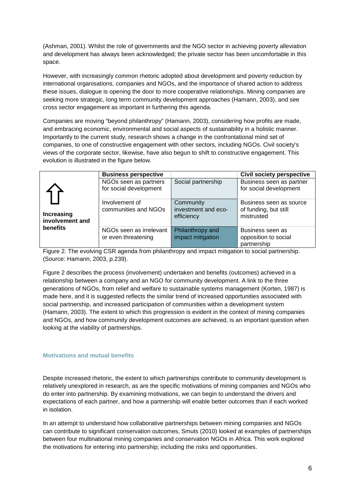(Ashman, 2001). Whilst the role of governments and the NGO sector in achieving poverty alleviation and development has always been acknowledged; the private sector has been uncomfortable in this space.

However, with increasingly common rhetoric adopted about development and poverty reduction by international organisations, companies and NGOs, and the importance of shared action to address these issues, dialogue is opening the door to more cooperative relationships. Mining companies are seeking more strategic, long term community development approaches (Hamann, 2003), and see cross sector engagement as important in furthering this agenda.

Companies are moving "beyond philanthropy" (Hamann, 2003), considering how profits are made, and embracing economic, environmental and social aspects of sustainability in a holistic manner. Importantly to the current study, research shows a change in the confrontational mind set of companies, to one of constructive engagement with other sectors, including NGOs. Civil society's views of the corporate sector, likewise, have also begun to shift to constructive engagement. This evolution is illustrated in the figure below.

|                                           | <b>Business perspective</b>                     |                                                | <b>Civil society perspective</b>                               |
|-------------------------------------------|-------------------------------------------------|------------------------------------------------|----------------------------------------------------------------|
|                                           | NGOs seen as partners<br>for social development | Social partnership                             | Business seen as partner<br>for social development             |
| Increasing<br>involvement and<br>benefits | Involvement of<br>communities and NGOs          | Community<br>investment and eco-<br>efficiency | Business seen as source<br>of funding, but still<br>mistrusted |
|                                           | NGOs seen as irrelevant<br>or even threatening  | Philanthropy and<br>impact mitigation          | Business seen as<br>opposition to social<br>partnership        |

Figure 2. The evolving CSR agenda from philanthropy and impact mitigation to social partnership. (Source: Hamann, 2003, p.239).

Figure 2 describes the process (involvement) undertaken and benefits (outcomes) achieved in a relationship between a company and an NGO for community development. A link to the three generations of NGOs, from relief and welfare to sustainable systems management (Korten, 1987) is made here, and it is suggested reflects the similar trend of increased opportunities associated with social partnership, and increased participation of communities within a development system (Hamann, 2003). The extent to which this progression is evident in the context of mining companies and NGOs, and how community development outcomes are achieved, is an important question when looking at the viability of partnerships.

# <span id="page-6-0"></span>**Motivations and mutual benefits**

Despite increased rhetoric, the extent to which partnerships contribute to community development is relatively unexplored in research, as are the specific motivations of mining companies and NGOs who do enter into partnership. By examining motivations, we can begin to understand the drivers and expectations of each partner, and how a partnership will enable better outcomes than if each worked in isolation.

In an attempt to understand how collaborative partnerships between mining companies and NGOs can contribute to significant conservation outcomes, Smuts (2010) looked at examples of partnerships between four multinational mining companies and conservation NGOs in Africa. This work explored the motivations for entering into partnership; including the risks and opportunities.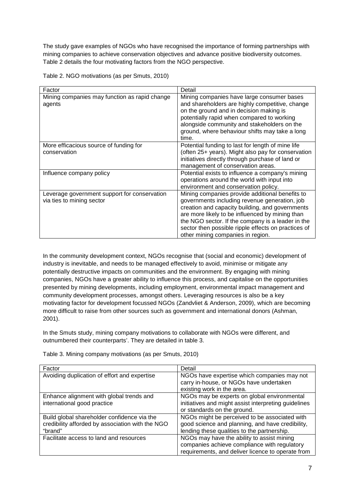The study gave examples of NGOs who have recognised the importance of forming partnerships with mining companies to achieve conservation objectives and advance positive biodiversity outcomes. Table 2 details the four motivating factors from the NGO perspective.

| Table 2. NGO motivations (as per Smuts, 2010) |  |
|-----------------------------------------------|--|
|-----------------------------------------------|--|

| Factor                                                                    | Detail                                                                                                                                                                                                                                                                                                                                                  |
|---------------------------------------------------------------------------|---------------------------------------------------------------------------------------------------------------------------------------------------------------------------------------------------------------------------------------------------------------------------------------------------------------------------------------------------------|
| Mining companies may function as rapid change<br>agents                   | Mining companies have large consumer bases<br>and shareholders are highly competitive, change<br>on the ground and in decision making is<br>potentially rapid when compared to working<br>alongside community and stakeholders on the<br>ground, where behaviour shifts may take a long<br>time.                                                        |
| More efficacious source of funding for<br>conservation                    | Potential funding to last for length of mine life<br>(often 25+ years). Might also pay for conservation<br>initiatives directly through purchase of land or<br>management of conservation areas.                                                                                                                                                        |
| Influence company policy                                                  | Potential exists to influence a company's mining<br>operations around the world with input into<br>environment and conservation policy.                                                                                                                                                                                                                 |
| Leverage government support for conservation<br>via ties to mining sector | Mining companies provide additional benefits to<br>governments including revenue generation, job<br>creation and capacity building, and governments<br>are more likely to be influenced by mining than<br>the NGO sector. If the company is a leader in the<br>sector then possible ripple effects on practices of<br>other mining companies in region. |

In the community development context, NGOs recognise that (social and economic) development of industry is inevitable, and needs to be managed effectively to avoid, minimise or mitigate any potentially destructive impacts on communities and the environment. By engaging with mining companies, NGOs have a greater ability to influence this process, and capitalise on the opportunities presented by mining developments, including employment, environmental impact management and community development processes, amongst others. Leveraging resources is also be a key motivating factor for development focussed NGOs (Zandvliet & Anderson, 2009), which are becoming more difficult to raise from other sources such as government and international donors (Ashman, 2001).

In the Smuts study, mining company motivations to collaborate with NGOs were different, and outnumbered their counterparts'. They are detailed in table 3.

| Factor                                                                                                     | Detail                                                                                                                                           |
|------------------------------------------------------------------------------------------------------------|--------------------------------------------------------------------------------------------------------------------------------------------------|
| Avoiding duplication of effort and expertise                                                               | NGOs have expertise which companies may not<br>carry in-house, or NGOs have undertaken<br>existing work in the area.                             |
| Enhance alignment with global trends and<br>international good practice                                    | NGOs may be experts on global environmental<br>initiatives and might assist interpreting guidelines<br>or standards on the ground.               |
| Build global shareholder confidence via the<br>credibility afforded by association with the NGO<br>"brand" | NGOs might be perceived to be associated with<br>good science and planning, and have credibility,<br>lending these qualities to the partnership. |
| Facilitate access to land and resources                                                                    | NGOs may have the ability to assist mining<br>companies achieve compliance with regulatory<br>requirements, and deliver licence to operate from  |

Table 3. Mining company motivations (as per Smuts, 2010)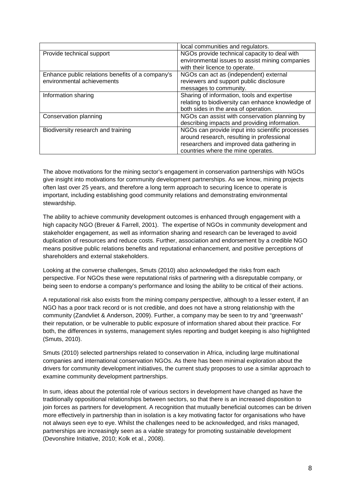|                                                  | local communities and regulators.                 |
|--------------------------------------------------|---------------------------------------------------|
| Provide technical support                        | NGOs provide technical capacity to deal with      |
|                                                  | environmental issues to assist mining companies   |
|                                                  | with their licence to operate.                    |
| Enhance public relations benefits of a company's | NGOs can act as (independent) external            |
| environmental achievements                       | reviewers and support public disclosure           |
|                                                  | messages to community.                            |
| Information sharing                              | Sharing of information, tools and expertise       |
|                                                  | relating to biodiversity can enhance knowledge of |
|                                                  | both sides in the area of operation.              |
| Conservation planning                            | NGOs can assist with conservation planning by     |
|                                                  | describing impacts and providing information.     |
| Biodiversity research and training               | NGOs can provide input into scientific processes  |
|                                                  | around research, resulting in professional        |
|                                                  | researchers and improved data gathering in        |
|                                                  | countries where the mine operates.                |

The above motivations for the mining sector's engagement in conservation partnerships with NGOs give insight into motivations for community development partnerships. As we know, mining projects often last over 25 years, and therefore a long term approach to securing licence to operate is important, including establishing good community relations and demonstrating environmental stewardship.

The ability to achieve community development outcomes is enhanced through engagement with a high capacity NGO (Breuer & Farrell, 2001). The expertise of NGOs in community development and stakeholder engagement, as well as information sharing and research can be leveraged to avoid duplication of resources and reduce costs. Further, association and endorsement by a credible NGO means positive public relations benefits and reputational enhancement, and positive perceptions of shareholders and external stakeholders.

Looking at the converse challenges, Smuts (2010) also acknowledged the risks from each perspective. For NGOs these were reputational risks of partnering with a disreputable company, or being seen to endorse a company's performance and losing the ability to be critical of their actions.

A reputational risk also exists from the mining company perspective, although to a lesser extent, if an NGO has a poor track record or is not credible, and does not have a strong relationship with the community (Zandvliet & Anderson, 2009). Further, a company may be seen to try and "greenwash" their reputation, or be vulnerable to public exposure of information shared about their practice. For both, the differences in systems, management styles reporting and budget keeping is also highlighted (Smuts, 2010).

Smuts (2010) selected partnerships related to conservation in Africa, including large multinational companies and international conservation NGOs. As there has been minimal exploration about the drivers for community development initiatives, the current study proposes to use a similar approach to examine community development partnerships.

In sum, ideas about the potential role of various sectors in development have changed as have the traditionally oppositional relationships between sectors, so that there is an increased disposition to join forces as partners for development. A recognition that mutually beneficial outcomes can be driven more effectively in partnership than in isolation is a key motivating factor for organisations who have not always seen eye to eye. Whilst the challenges need to be acknowledged, and risks managed, partnerships are increasingly seen as a viable strategy for promoting sustainable development (Devonshire Initiative, 2010; Kolk et al., 2008).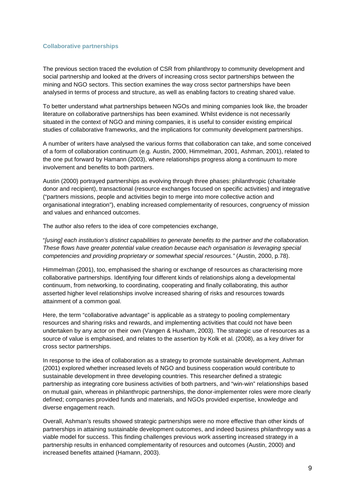#### <span id="page-9-0"></span>**Collaborative partnerships**

The previous section traced the evolution of CSR from philanthropy to community development and social partnership and looked at the drivers of increasing cross sector partnerships between the mining and NGO sectors. This section examines the way cross sector partnerships have been analysed in terms of process and structure, as well as enabling factors to creating shared value.

To better understand what partnerships between NGOs and mining companies look like, the broader literature on collaborative partnerships has been examined. Whilst evidence is not necessarily situated in the context of NGO and mining companies, it is useful to consider existing empirical studies of collaborative frameworks, and the implications for community development partnerships.

A number of writers have analysed the various forms that collaboration can take, and some conceived of a form of collaboration continuum (e.g. Austin, 2000, Himmelman, 2001, Ashman, 2001), related to the one put forward by Hamann (2003), where relationships progress along a continuum to more involvement and benefits to both partners.

Austin (2000) portrayed partnerships as evolving through three phases: philanthropic (charitable donor and recipient), transactional (resource exchanges focused on specific activities) and integrative ("partners missions, people and activities begin to merge into more collective action and organisational integration"), enabling increased complementarity of resources, congruency of mission and values and enhanced outcomes.

The author also refers to the idea of core competencies exchange,

"*[using] each institution's distinct capabilities to generate benefits to the partner and the collaboration. These flows have greater potential value creation because each organisation is leveraging special competencies and providing proprietary or somewhat special resources."* (Austin, 2000, p.78).

Himmelman (2001), too, emphasised the sharing or exchange of resources as characterising more collaborative partnerships. Identifying four different kinds of relationships along a developmental continuum, from networking, to coordinating, cooperating and finally collaborating, this author asserted higher level relationships involve increased sharing of risks and resources towards attainment of a common goal.

Here, the term "collaborative advantage" is applicable as a strategy to pooling complementary resources and sharing risks and rewards, and implementing activities that could not have been undertaken by any actor on their own (Vangen & Huxham, 2003). The strategic use of resources as a source of value is emphasised, and relates to the assertion by Kolk et al. (2008), as a key driver for cross sector partnerships.

In response to the idea of collaboration as a strategy to promote sustainable development, Ashman (2001) explored whether increased levels of NGO and business cooperation would contribute to sustainable development in three developing countries. This researcher defined a strategic partnership as integrating core business activities of both partners, and "win-win" relationships based on mutual gain, whereas in philanthropic partnerships, the donor-implementer roles were more clearly defined; companies provided funds and materials, and NGOs provided expertise, knowledge and diverse engagement reach.

Overall, Ashman's results showed strategic partnerships were no more effective than other kinds of partnerships in attaining sustainable development outcomes, and indeed business philanthropy was a viable model for success. This finding challenges previous work asserting increased strategy in a partnership results in enhanced complementarity of resources and outcomes (Austin, 2000) and increased benefits attained (Hamann, 2003).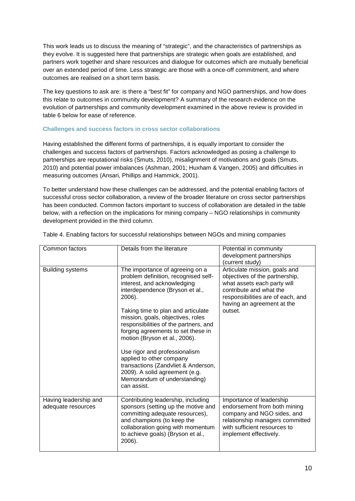This work leads us to discuss the meaning of "strategic", and the characteristics of partnerships as they evolve. It is suggested here that partnerships are strategic when goals are established, and partners work together and share resources and dialogue for outcomes which are mutually beneficial over an extended period of time. Less strategic are those with a once-off commitment, and where outcomes are realised on a short term basis.

The key questions to ask are: is there a "best fit" for company and NGO partnerships, and how does this relate to outcomes in community development? A summary of the research evidence on the evolution of partnerships and community development examined in the above review is provided in table 6 below for ease of reference.

#### <span id="page-10-0"></span>**Challenges and success factors in cross sector collaborations**

Having established the different forms of partnerships, it is equally important to consider the challenges and success factors of partnerships. Factors acknowledged as posing a challenge to partnerships are reputational risks (Smuts, 2010), misalignment of motivations and goals (Smuts, 2010) and potential power imbalances (Ashman, 2001; Huxham & Vangen, 2005) and difficulties in measuring outcomes (Ansari, Phillips and Hammick, 2001).

To better understand how these challenges can be addressed, and the potential enabling factors of successful cross sector collaboration, a review of the broader literature on cross sector partnerships has been conducted. Common factors important to success of collaboration are detailed in the table below, with a reflection on the implications for mining company – NGO relationships in community development provided in the third column.

| Common factors                              | Details from the literature                                                                                                                                                                                                                                                                                                                                                                                                                                                                                                         | Potential in community<br>development partnerships<br>(current study)                                                                                                                                   |
|---------------------------------------------|-------------------------------------------------------------------------------------------------------------------------------------------------------------------------------------------------------------------------------------------------------------------------------------------------------------------------------------------------------------------------------------------------------------------------------------------------------------------------------------------------------------------------------------|---------------------------------------------------------------------------------------------------------------------------------------------------------------------------------------------------------|
| <b>Building systems</b>                     | The importance of agreeing on a<br>problem definition, recognised self-<br>interest, and acknowledging<br>interdependence (Bryson et al.,<br>2006).<br>Taking time to plan and articulate<br>mission, goals, objectives, roles<br>responsibilities of the partners, and<br>forging agreements to set these in<br>motion (Bryson et al., 2006).<br>Use rigor and professionalism<br>applied to other company<br>transactions (Zandvliet & Anderson,<br>2009). A solid agreement (e.g.<br>Memorandum of understanding)<br>can assist. | Articulate mission, goals and<br>objectives of the partnership,<br>what assets each party will<br>contribute and what the<br>responsibilities are of each, and<br>having an agreement at the<br>outset. |
| Having leadership and<br>adequate resources | Contributing leadership, including<br>sponsors (setting up the motive and<br>committing adequate resources),<br>and champions (to keep the<br>collaboration going with momentum<br>to achieve goals) (Bryson et al.,<br>2006).                                                                                                                                                                                                                                                                                                      | Importance of leadership<br>endorsement from both mining<br>company and NGO sides, and<br>relationship managers committed<br>with sufficient resources to<br>implement effectively.                     |

Table 4. Enabling factors for successful relationships between NGOs and mining companies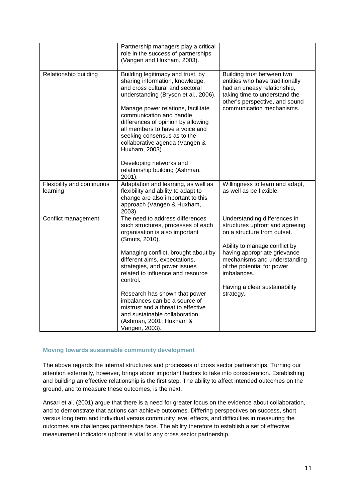|                                        | Partnership managers play a critical<br>role in the success of partnerships<br>(Vangen and Huxham, 2003).                                                                                                                                                                                                                                                                                                |                                                                                                                                                                                              |
|----------------------------------------|----------------------------------------------------------------------------------------------------------------------------------------------------------------------------------------------------------------------------------------------------------------------------------------------------------------------------------------------------------------------------------------------------------|----------------------------------------------------------------------------------------------------------------------------------------------------------------------------------------------|
| Relationship building                  | Building legitimacy and trust, by<br>sharing information, knowledge,<br>and cross cultural and sectoral<br>understanding (Bryson et al., 2006).<br>Manage power relations, facilitate<br>communication and handle<br>differences of opinion by allowing<br>all members to have a voice and<br>seeking consensus as to the<br>collaborative agenda (Vangen &<br>Huxham, 2003).<br>Developing networks and | Building trust between two<br>entities who have traditionally<br>had an uneasy relationship,<br>taking time to understand the<br>other's perspective, and sound<br>communication mechanisms. |
|                                        | relationship building (Ashman,<br>2001).                                                                                                                                                                                                                                                                                                                                                                 |                                                                                                                                                                                              |
| Flexibility and continuous<br>learning | Adaptation and learning, as well as<br>flexibility and ability to adapt to<br>change are also important to this<br>approach (Vangen & Huxham,<br>2003).                                                                                                                                                                                                                                                  | Willingness to learn and adapt,<br>as well as be flexible.                                                                                                                                   |
| Conflict management                    | The need to address differences<br>such structures, processes of each<br>organisation is also important<br>(Smuts, 2010).                                                                                                                                                                                                                                                                                | Understanding differences in<br>structures upfront and agreeing<br>on a structure from outset.                                                                                               |
|                                        | Managing conflict, brought about by<br>different aims, expectations,<br>strategies, and power issues<br>related to influence and resource<br>control.                                                                                                                                                                                                                                                    | Ability to manage conflict by<br>having appropriate grievance<br>mechanisms and understanding<br>of the potential for power<br>imbalances.                                                   |
|                                        | Research has shown that power<br>imbalances can be a source of<br>mistrust and a threat to effective<br>and sustainable collaboration<br>(Ashman, 2001; Huxham &<br>Vangen, 2003).                                                                                                                                                                                                                       | Having a clear sustainability<br>strategy.                                                                                                                                                   |

# <span id="page-11-0"></span>**Moving towards sustainable community development**

The above regards the internal structures and processes of cross sector partnerships. Turning our attention externally, however, brings about important factors to take into consideration. Establishing and building an effective relationship is the first step. The ability to affect intended outcomes on the ground, and to measure these outcomes, is the next.

Ansari et al. (2001) argue that there is a need for greater focus on the evidence about collaboration, and to demonstrate that actions can achieve outcomes. Differing perspectives on success, short versus long term and individual versus community level effects, and difficulties in measuring the outcomes are challenges partnerships face. The ability therefore to establish a set of effective measurement indicators upfront is vital to any cross sector partnership.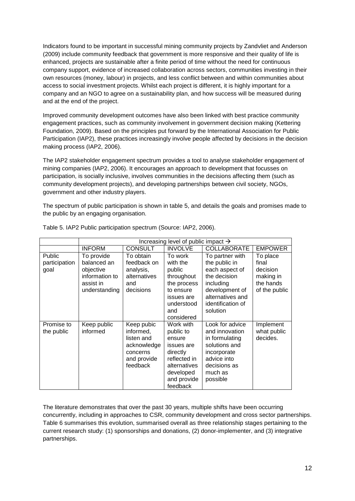Indicators found to be important in successful mining community projects by Zandvliet and Anderson (2009) include community feedback that government is more responsive and their quality of life is enhanced, projects are sustainable after a finite period of time without the need for continuous company support, evidence of increased collaboration across sectors, communities investing in their own resources (money, labour) in projects, and less conflict between and within communities about access to social investment projects. Whilst each project is different, it is highly important for a company and an NGO to agree on a sustainability plan, and how success will be measured during and at the end of the project.

Improved community development outcomes have also been linked with best practice community engagement practices, such as community involvement in government decision making (Kettering Foundation, 2009). Based on the principles put forward by the International Association for Public Participation (IAP2), these practices increasingly involve people affected by decisions in the decision making process (IAP2, 2006).

The IAP2 stakeholder engagement spectrum provides a tool to analyse stakeholder engagement of mining companies (IAP2, 2006). It encourages an approach to development that focusses on participation, is socially inclusive, involves communities in the decisions affecting them (such as community development projects), and developing partnerships between civil society, NGOs, government and other industry players.

The spectrum of public participation is shown in table 5, and details the goals and promises made to the public by an engaging organisation.

|                                 | Increasing level of public impact $\rightarrow$                                        |                                                                                             |                                                                                                                                    |                                                                                                                                                        |                                                                          |  |  |
|---------------------------------|----------------------------------------------------------------------------------------|---------------------------------------------------------------------------------------------|------------------------------------------------------------------------------------------------------------------------------------|--------------------------------------------------------------------------------------------------------------------------------------------------------|--------------------------------------------------------------------------|--|--|
|                                 | <b>INFORM</b>                                                                          | <b>CONSULT</b>                                                                              | <b>INVOLVE</b><br><b>COLLABORATE</b>                                                                                               |                                                                                                                                                        | <b>EMPOWER</b>                                                           |  |  |
| Public<br>participation<br>goal | To provide<br>balanced an<br>objective<br>information to<br>assist in<br>understanding | To obtain<br>feedback on<br>analysis,<br>alternatives<br>and<br>decisions                   | To work<br>with the<br>public<br>throughout<br>the process<br>to ensure<br>issues are<br>understood<br>and<br>considered           | To partner with<br>the public in<br>each aspect of<br>the decision<br>including<br>development of<br>alternatives and<br>identification of<br>solution | To place<br>final<br>decision<br>making in<br>the hands<br>of the public |  |  |
| Promise to<br>the public        | Keep public<br>informed                                                                | Keep pubic<br>informed,<br>listen and<br>acknowledge<br>concerns<br>and provide<br>feedback | Work with<br>public to<br>ensure<br>issues are<br>directly<br>reflected in<br>alternatives<br>developed<br>and provide<br>feedback | Look for advice<br>and innovation<br>in formulating<br>solutions and<br>incorporate<br>advice into<br>decisions as<br>much as<br>possible              | Implement<br>what public<br>decides.                                     |  |  |

Table 5. IAP2 Public participation spectrum (Source: IAP2, 2006).

The literature demonstrates that over the past 30 years, multiple shifts have been occurring concurrently, including in approaches to CSR, community development and cross sector partnerships. Table 6 summarises this evolution, summarised overall as three relationship stages pertaining to the current research study: (1) sponsorships and donations, (2) donor-implementer, and (3) integrative partnerships.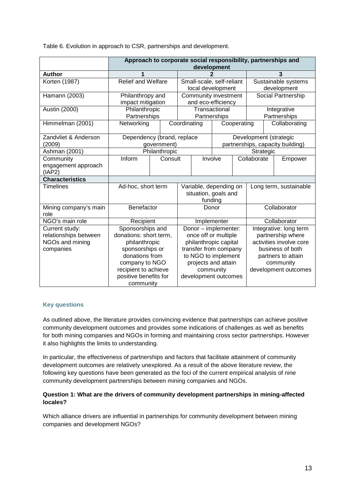Table 6. Evolution in approach to CSR, partnerships and development.

|                                                                         | Approach to corporate social responsibility, partnerships and<br>development                                                                                                     |               |                                                                                                                                                                                   |                                                |                                                                                                                                                       |                                            |                        |             |                                    |                                                            |
|-------------------------------------------------------------------------|----------------------------------------------------------------------------------------------------------------------------------------------------------------------------------|---------------|-----------------------------------------------------------------------------------------------------------------------------------------------------------------------------------|------------------------------------------------|-------------------------------------------------------------------------------------------------------------------------------------------------------|--------------------------------------------|------------------------|-------------|------------------------------------|------------------------------------------------------------|
| <b>Author</b>                                                           |                                                                                                                                                                                  |               |                                                                                                                                                                                   |                                                |                                                                                                                                                       |                                            |                        | 3           |                                    |                                                            |
| Korten (1987)                                                           | <b>Relief and Welfare</b>                                                                                                                                                        |               |                                                                                                                                                                                   | Small-scale, self-reliant<br>local development |                                                                                                                                                       |                                            |                        |             | Sustainable systems<br>development |                                                            |
| Hamann (2003)                                                           | Philanthropy and<br>impact mitigation                                                                                                                                            |               |                                                                                                                                                                                   |                                                |                                                                                                                                                       | Community investment<br>and eco-efficiency |                        |             | Social Partnership                 |                                                            |
| Austin (2000)                                                           | Philanthropic<br>Partnerships                                                                                                                                                    |               |                                                                                                                                                                                   |                                                |                                                                                                                                                       | Transactional<br>Partnerships              |                        |             | Integrative<br>Partnerships        |                                                            |
| Himmelman (2001)                                                        | Networking                                                                                                                                                                       |               |                                                                                                                                                                                   | Coordinating                                   |                                                                                                                                                       |                                            | Cooperating            |             |                                    | Collaborating                                              |
| Zandvliet & Anderson<br>(2009)                                          | Dependency (brand, replace<br>government)                                                                                                                                        |               |                                                                                                                                                                                   |                                                |                                                                                                                                                       |                                            |                        |             |                                    | Development (strategic<br>partnerships, capacity building) |
| Ashman (2001)                                                           |                                                                                                                                                                                  | Philanthropic |                                                                                                                                                                                   |                                                |                                                                                                                                                       |                                            | Strategic              |             |                                    |                                                            |
| Community<br>engagement approach<br>(IAP2)                              | Inform                                                                                                                                                                           | Consult       |                                                                                                                                                                                   |                                                |                                                                                                                                                       | Involve                                    |                        | Collaborate |                                    | Empower                                                    |
| <b>Characteristics</b>                                                  |                                                                                                                                                                                  |               |                                                                                                                                                                                   |                                                |                                                                                                                                                       |                                            |                        |             |                                    |                                                            |
| <b>Timelines</b>                                                        | Ad-hoc, short term                                                                                                                                                               |               | Variable, depending on<br>situation, goals and<br>funding                                                                                                                         |                                                |                                                                                                                                                       |                                            | Long term, sustainable |             |                                    |                                                            |
| Mining company's main<br>role                                           | Benefactor                                                                                                                                                                       |               |                                                                                                                                                                                   | Donor                                          |                                                                                                                                                       | Collaborator                               |                        |             |                                    |                                                            |
| NGO's main role                                                         | Recipient                                                                                                                                                                        |               |                                                                                                                                                                                   | Implementer                                    |                                                                                                                                                       | Collaborator                               |                        |             |                                    |                                                            |
| Current study:<br>relationships between<br>NGOs and mining<br>companies | Sponsorships and<br>donations: short term,<br>philanthropic<br>sponsorships or<br>donations from<br>company to NGO<br>recipient to achieve<br>positive benefits for<br>community |               | Donor - implementer:<br>once off or multiple<br>philanthropic capital<br>transfer from company<br>to NGO to implement<br>projects and attain<br>community<br>development outcomes |                                                | Integrative: long term<br>partnership where<br>activities involve core<br>business of both<br>partners to attain<br>community<br>development outcomes |                                            |                        |             |                                    |                                                            |

# <span id="page-13-0"></span>**Key questions**

As outlined above, the literature provides convincing evidence that partnerships can achieve positive community development outcomes and provides some indications of challenges as well as benefits for both mining companies and NGOs in forming and maintaining cross sector partnerships. However it also highlights the limits to understanding.

In particular, the effectiveness of partnerships and factors that facilitate attainment of community development outcomes are relatively unexplored. As a result of the above literature review, the following key questions have been generated as the foci of the current empirical analysis of nine community development partnerships between mining companies and NGOs.

# **Question 1: What are the drivers of community development partnerships in mining-affected locales?**

Which alliance drivers are influential in partnerships for community development between mining companies and development NGOs?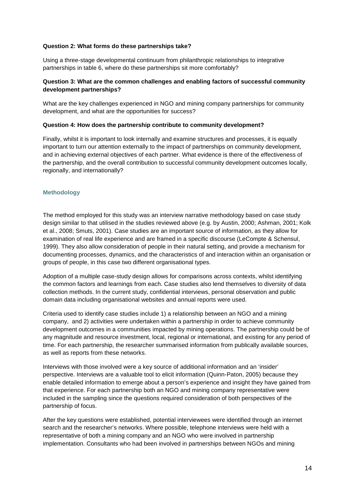# **Question 2: What forms do these partnerships take?**

Using a three-stage developmental continuum from philanthropic relationships to integrative partnerships in table 6, where do these partnerships sit more comfortably?

# **Question 3: What are the common challenges and enabling factors of successful community development partnerships?**

What are the key challenges experienced in NGO and mining company partnerships for community development, and what are the opportunities for success?

#### **Question 4: How does the partnership contribute to community development?**

Finally, whilst it is important to look internally and examine structures and processes, it is equally important to turn our attention externally to the impact of partnerships on community development, and in achieving external objectives of each partner. What evidence is there of the effectiveness of the partnership, and the overall contribution to successful community development outcomes locally, regionally, and internationally?

#### <span id="page-14-0"></span>**Methodology**

The method employed for this study was an interview narrative methodology based on case study design similar to that utilised in the studies reviewed above (e.g. by Austin, 2000; Ashman, 2001; Kolk et al., 2008; Smuts, 2001). Case studies are an important source of information, as they allow for examination of real life experience and are framed in a specific discourse (LeCompte & Schensul, 1999). They also allow consideration of people in their natural setting, and provide a mechanism for documenting processes, dynamics, and the characteristics of and interaction within an organisation or groups of people, in this case two different organisational types.

Adoption of a multiple case-study design allows for comparisons across contexts, whilst identifying the common factors and learnings from each. Case studies also lend themselves to diversity of data collection methods. In the current study, confidential interviews, personal observation and public domain data including organisational websites and annual reports were used.

Criteria used to identify case studies include 1) a relationship between an NGO and a mining company, and 2) activities were undertaken within a partnership in order to achieve community development outcomes in a communities impacted by mining operations. The partnership could be of any magnitude and resource investment, local, regional or international, and existing for any period of time. For each partnership, the researcher summarised information from publically available sources, as well as reports from these networks.

Interviews with those involved were a key source of additional information and an 'insider' perspective. Interviews are a valuable tool to elicit information (Quinn-Paton, 2005) because they enable detailed information to emerge about a person's experience and insight they have gained from that experience. For each partnership both an NGO and mining company representative were included in the sampling since the questions required consideration of both perspectives of the partnership of focus.

After the key questions were established, potential interviewees were identified through an internet search and the researcher's networks. Where possible, telephone interviews were held with a representative of both a mining company and an NGO who were involved in partnership implementation. Consultants who had been involved in partnerships between NGOs and mining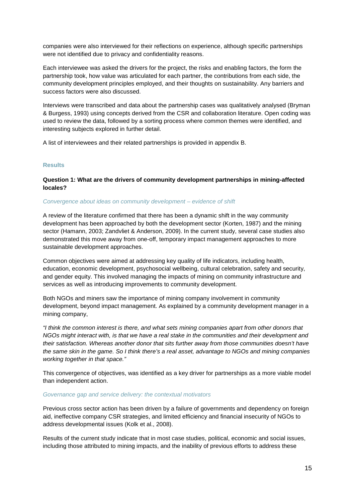companies were also interviewed for their reflections on experience, although specific partnerships were not identified due to privacy and confidentiality reasons.

Each interviewee was asked the drivers for the project, the risks and enabling factors, the form the partnership took, how value was articulated for each partner, the contributions from each side, the community development principles employed, and their thoughts on sustainability. Any barriers and success factors were also discussed.

Interviews were transcribed and data about the partnership cases was qualitatively analysed (Bryman & Burgess, 1993) using concepts derived from the CSR and collaboration literature. Open coding was used to review the data, followed by a sorting process where common themes were identified, and interesting subjects explored in further detail.

A list of interviewees and their related partnerships is provided in appendix B.

# <span id="page-15-0"></span>**Results**

# **Question 1: What are the drivers of community development partnerships in mining-affected locales?**

#### *Convergence about ideas on community development – evidence of shift*

A review of the literature confirmed that there has been a dynamic shift in the way community development has been approached by both the development sector (Korten, 1987) and the mining sector (Hamann, 2003; Zandvliet & Anderson, 2009). In the current study, several case studies also demonstrated this move away from one-off, temporary impact management approaches to more sustainable development approaches.

Common objectives were aimed at addressing key quality of life indicators, including health, education, economic development, psychosocial wellbeing, cultural celebration, safety and security, and gender equity. This involved managing the impacts of mining on community infrastructure and services as well as introducing improvements to community development.

Both NGOs and miners saw the importance of mining company involvement in community development, beyond impact management. As explained by a community development manager in a mining company,

*"I think the common interest is there, and what sets mining companies apart from other donors that NGOs might interact with, is that we have a real stake in the communities and their development and their satisfaction. Whereas another donor that sits further away from those communities doesn't have the same skin in the game. So I think there's a real asset, advantage to NGOs and mining companies working together in that space."*

This convergence of objectives, was identified as a key driver for partnerships as a more viable model than independent action.

#### *Governance gap and service delivery: the contextual motivators*

Previous cross sector action has been driven by a failure of governments and dependency on foreign aid, ineffective company CSR strategies, and limited efficiency and financial insecurity of NGOs to address developmental issues (Kolk et al., 2008).

Results of the current study indicate that in most case studies, political, economic and social issues, including those attributed to mining impacts, and the inability of previous efforts to address these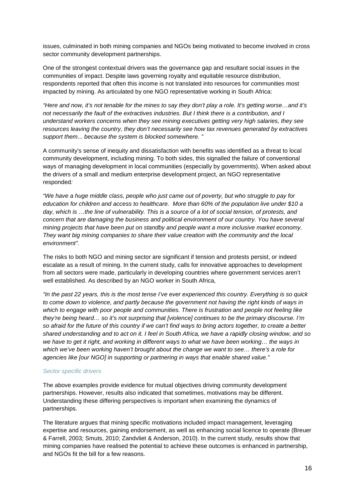issues, culminated in both mining companies and NGOs being motivated to become involved in cross sector community development partnerships.

One of the strongest contextual drivers was the governance gap and resultant social issues in the communities of impact. Despite laws governing royalty and equitable resource distribution, respondents reported that often this income is not translated into resources for communities most impacted by mining. As articulated by one NGO representative working in South Africa:

*"Here and now, it's not tenable for the mines to say they don't play a role. It's getting worse…and it's not necessarily the fault of the extractives industries. But I think there is a contribution, and I understand workers concerns when they see mining executives getting very high salaries, they see resources leaving the country, they don't necessarily see how tax revenues generated by extractives support them... because the system is blocked somewhere. "*

A community's sense of inequity and dissatisfaction with benefits was identified as a threat to local community development, including mining. To both sides, this signalled the failure of conventional ways of managing development in local communities (especially by governments). When asked about the drivers of a small and medium enterprise development project, an NGO representative responded*:* 

*"We have a huge middle class, people who just came out of poverty, but who struggle to pay for education for children and access to healthcare. More than 60% of the population live under \$10 a day, which is …the line of vulnerability. This is a source of a lot of social tension, of protests, and concern that are damaging the business and political environment of our country. You have several mining projects that have been put on standby and people want a more inclusive market economy. They want big mining companies to share their value creation with the community and the local environment".*

The risks to both NGO and mining sector are significant if tension and protests persist, or indeed escalate as a result of mining. In the current study, calls for innovative approaches to development from all sectors were made, particularly in developing countries where government services aren't well established. As described by an NGO worker in South Africa,

*"In the past 22 years, this is the most tense I've ever experienced this country. Everything is so quick to come down to violence, and partly because the government not having the right kinds of ways in which to engage with poor people and communities. There is frustration and people not feeling like they're being heard… so it's not surprising that [violence] continues to be the primary discourse. I'm so afraid for the future of this country if we can't find ways to bring actors together, to create a better shared understanding and to act on it. I feel in South Africa, we have a rapidly closing window, and so we have to get it right, and working in different ways to what we have been working… the ways in which we've been working haven't brought about the change we want to see… there's a role for agencies like [our NGO] in supporting or partnering in ways that enable shared value."*

#### *Sector specific drivers*

The above examples provide evidence for mutual objectives driving community development partnerships. However, results also indicated that sometimes, motivations may be different. Understanding these differing perspectives is important when examining the dynamics of partnerships.

The literature argues that mining specific motivations included impact management, leveraging expertise and resources, gaining endorsement, as well as enhancing social licence to operate (Breuer & Farrell, 2003; Smuts, 2010; Zandvliet & Anderson, 2010). In the current study, results show that mining companies have realised the potential to achieve these outcomes is enhanced in partnership, and NGOs fit the bill for a few reasons.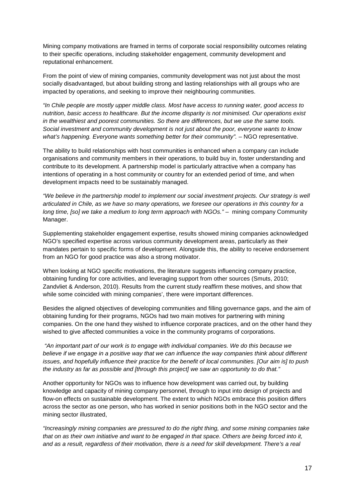Mining company motivations are framed in terms of corporate social responsibility outcomes relating to their specific operations, including stakeholder engagement, community development and reputational enhancement.

From the point of view of mining companies, community development was not just about the most socially disadvantaged, but about building strong and lasting relationships with all groups who are impacted by operations, and seeking to improve their neighbouring communities.

*"In Chile people are mostly upper middle class. Most have access to running water, good access to nutrition, basic access to healthcare. But the income disparity is not minimised. Our operations exist in the wealthiest and poorest communities. So there are differences, but we use the same tools. Social investment and community development is not just about the poor, everyone wants to know what's happening. Everyone wants something better for their community".* – NGO representative.

The ability to build relationships with host communities is enhanced when a company can include organisations and community members in their operations, to build buy in, foster understanding and contribute to its development. A partnership model is particularly attractive when a company has intentions of operating in a host community or country for an extended period of time, and when development impacts need to be sustainably managed.

*"We believe in the partnership model to implement our social investment projects. Our strategy is well articulated in Chile, as we have so many operations, we foresee our operations in this country for a long time, [so] we take a medium to long term approach with NGOs."* – mining company Community Manager.

Supplementing stakeholder engagement expertise, results showed mining companies acknowledged NGO's specified expertise across various community development areas, particularly as their mandates pertain to specific forms of development. Alongside this, the ability to receive endorsement from an NGO for good practice was also a strong motivator.

When looking at NGO specific motivations, the literature suggests influencing company practice, obtaining funding for core activities, and leveraging support from other sources (Smuts, 2010; Zandvliet & Anderson, 2010). Results from the current study reaffirm these motives, and show that while some coincided with mining companies', there were important differences.

Besides the aligned objectives of developing communities and filling governance gaps, and the aim of obtaining funding for their programs, NGOs had two main motives for partnering with mining companies. On the one hand they wished to influence corporate practices, and on the other hand they wished to give affected communities a voice in the community programs of corporations.

*"An important part of our work is to engage with individual companies. We do this because we believe if we engage in a positive way that we can influence the way companies think about different issues, and hopefully influence their practice for the benefit of local communities. [Our aim is] to push the industry as far as possible and [through this project] we saw an opportunity to do that."* 

Another opportunity for NGOs was to influence how development was carried out, by building knowledge and capacity of mining company personnel, through to input into design of projects and flow-on effects on sustainable development. The extent to which NGOs embrace this position differs across the sector as one person, who has worked in senior positions both in the NGO sector and the mining sector illustrated,

*"Increasingly mining companies are pressured to do the right thing, and some mining companies take that on as their own initiative and want to be engaged in that space. Others are being forced into it, and as a result, regardless of their motivation, there is a need for skill development. There's a real*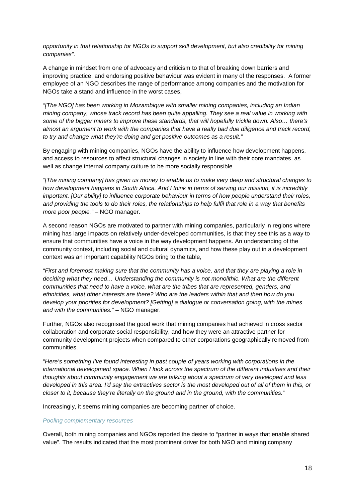*opportunity in that relationship for NGOs to support skill development, but also credibility for mining companies".* 

A change in mindset from one of advocacy and criticism to that of breaking down barriers and improving practice, and endorsing positive behaviour was evident in many of the responses. A former employee of an NGO describes the range of performance among companies and the motivation for NGOs take a stand and influence in the worst cases,

*"[The NGO] has been working in Mozambique with smaller mining companies, including an Indian mining company, whose track record has been quite appalling. They see a real value in working with some of the bigger miners to improve these standards, that will hopefully trickle down. Also… there's almost an argument to work with the companies that have a really bad due diligence and track record, to try and change what they're doing and get positive outcomes as a result."*

By engaging with mining companies, NGOs have the ability to influence how development happens, and access to resources to affect structural changes in society in line with their core mandates, as well as change internal company culture to be more socially responsible.

*"[The mining company] has given us money to enable us to make very deep and structural changes to how development happens in South Africa. And I think in terms of serving our mission, it is incredibly important. [Our ability] to influence corporate behaviour in terms of how people understand their roles, and providing the tools to do their roles, the relationships to help fulfil that role in a way that benefits more poor people."* – NGO manager.

A second reason NGOs are motivated to partner with mining companies, particularly in regions where mining has large impacts on relatively under-developed communities, is that they see this as a way to ensure that communities have a voice in the way development happens. An understanding of the community context, including social and cultural dynamics, and how these play out in a development context was an important capability NGOs bring to the table,

*"First and foremost making sure that the community has a voice, and that they are playing a role in deciding what they need… Understanding the community is not monolithic. What are the different communities that need to have a voice, what are the tribes that are represented, genders, and ethnicities, what other interests are there? Who are the leaders within that and then how do you develop your priorities for development? [Getting] a dialogue or conversation going, with the mines and with the communities." –* NGO manager.

Further, NGOs also recognised the good work that mining companies had achieved in cross sector collaboration and corporate social responsibility, and how they were an attractive partner for community development projects when compared to other corporations geographically removed from communities.

"*Here's something I've found interesting in past couple of years working with corporations in the international development space. When I look across the spectrum of the different industries and their thoughts about community engagement we are talking about a spectrum of very developed and less developed in this area. I'd say the extractives sector is the most developed out of all of them in this, or closer to it, because they're literally on the ground and in the ground, with the communities.*"

Increasingly, it seems mining companies are becoming partner of choice.

#### *Pooling complementary resources*

Overall, both mining companies and NGOs reported the desire to "partner in ways that enable shared value". The results indicated that the most prominent driver for both NGO and mining company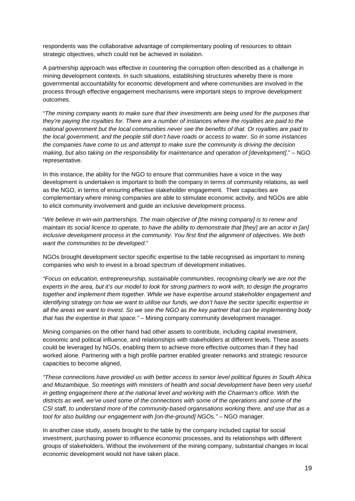respondents was the collaborative advantage of complementary pooling of resources to obtain strategic objectives, which could not be achieved in isolation.

A partnership approach was effective in countering the corruption often described as a challenge in mining development contexts. In such situations, establishing structures whereby there is more governmental accountability for economic development and where communities are involved in the process through effective engagement mechanisms were important steps to improve development outcomes.

"*The mining company wants to make sure that their investments are being used for the purposes that they're paying the royalties for. There are a number of instances where the royalties are paid to the national government but the local communities never see the benefits of that. Or royalties are paid to the local government, and the people still don't have roads or access to water. So in some instances the companies have come to us and attempt to make sure the community is driving the decision making, but also taking on the responsibility for maintenance and operation of [development]*." – NGO representative.

In this instance, the ability for the NGO to ensure that communities have a voice in the way development is undertaken is important to both the company in terms of community relations, as well as the NGO, in terms of ensuring effective stakeholder engagement. Their capacities are complementary where mining companies are able to stimulate economic activity, and NGOs are able to elicit community involvement and guide an inclusive development process.

"*We believe in win-win partnerships. The main objective of [the mining company] is to renew and maintain its social licence to operate, to have the ability to demonstrate that [they] are an actor in [an] inclusive development process in the community. You first find the alignment of objectives. We both want the communities to be developed*."

NGOs brought development sector specific expertise to the table recognised as important to mining companies who wish to invest in a broad spectrum of development initiatives.

*"Focus on education, entrepreneurship, sustainable communities, recognising clearly we are not the experts in the area, but it's our model to look for strong partners to work with, to design the programs together and implement them together. While we have expertise around stakeholder engagement and identifying strategy on how we want to utilise our funds, we don't have the sector specific expertise in all the areas we want to invest. So we see the NGO as the key partner that can be implementing body that has the expertise in that space." –* Mining company community development manager.

Mining companies on the other hand had other assets to contribute, including capital investment, economic and political influence, and relationships with stakeholders at different levels. These assets could be leveraged by NGOs, enabling them to achieve more effective outcomes than if they had worked alone. Partnering with a high profile partner enabled greater networks and strategic resource capacities to become aligned,

*"These connections have provided us with better access to senior level political figures in South Africa*  and Mozambique. So meetings with ministers of health and social development have been very useful *in getting engagement there at the national level and working with the Chairman's office. With the districts as well, we've used some of the connections with some of the operations and some of the CSI staff, to understand more of the community-based organisations working there, and use that as a tool for also building our engagement with [on-the-ground] NGOs." –* NGO manager.

In another case study, assets brought to the table by the company included capital for social investment, purchasing power to influence economic processes, and its relationships with different groups of stakeholders. Without the involvement of the mining company, substantial changes in local economic development would not have taken place.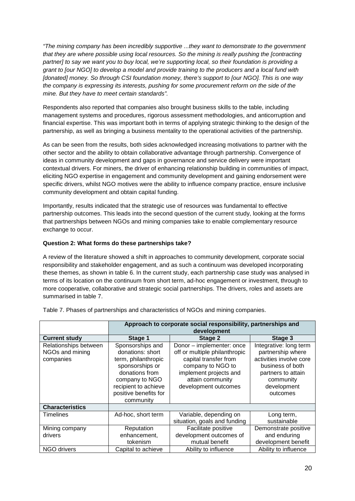*"The mining company has been incredibly supportive ...they want to demonstrate to the government that they are where possible using local resources. So the mining is really pushing the [contracting partner] to say we want you to buy local, we're supporting local, so their foundation is providing a grant to [our NGO] to develop a model and provide training to the producers and a local fund with [donated] money. So through CSI foundation money, there's support to [our NGO]. This is one way the company is expressing its interests, pushing for some procurement reform on the side of the mine. But they have to meet certain standards".*

Respondents also reported that companies also brought business skills to the table, including management systems and procedures, rigorous assessment methodologies, and anticorruption and financial expertise. This was important both in terms of applying strategic thinking to the design of the partnership, as well as bringing a business mentality to the operational activities of the partnership.

As can be seen from the results, both sides acknowledged increasing motivations to partner with the other sector and the ability to obtain collaborative advantage through partnership. Convergence of ideas in community development and gaps in governance and service delivery were important contextual drivers. For miners, the driver of enhancing relationship building in communities of impact, eliciting NGO expertise in engagement and community development and gaining endorsement were specific drivers, whilst NGO motives were the ability to influence company practice, ensure inclusive community development and obtain capital funding.

Importantly, results indicated that the strategic use of resources was fundamental to effective partnership outcomes. This leads into the second question of the current study, looking at the forms that partnerships between NGOs and mining companies take to enable complementary resource exchange to occur.

# **Question 2: What forms do these partnerships take?**

A review of the literature showed a shift in approaches to community development, corporate social responsibility and stakeholder engagement, and as such a continuum was developed incorporating these themes, as shown in table 6. In the current study, each partnership case study was analysed in terms of its location on the continuum from short term, ad-hoc engagement or investment, through to more cooperative, collaborative and strategic social partnerships. The drivers, roles and assets are summarised in table 7.

|                                                       | Approach to corporate social responsibility, partnerships and<br>development                                                                                                     |                                                                                                                                                                                |                                                                                                                                                          |  |  |  |
|-------------------------------------------------------|----------------------------------------------------------------------------------------------------------------------------------------------------------------------------------|--------------------------------------------------------------------------------------------------------------------------------------------------------------------------------|----------------------------------------------------------------------------------------------------------------------------------------------------------|--|--|--|
| <b>Current study</b>                                  | Stage 1                                                                                                                                                                          | Stage 3                                                                                                                                                                        |                                                                                                                                                          |  |  |  |
| Relationships between<br>NGOs and mining<br>companies | Sponsorships and<br>donations: short<br>term, philanthropic<br>sponsorships or<br>donations from<br>company to NGO<br>recipient to achieve<br>positive benefits for<br>community | Donor - implementer: once<br>off or multiple philanthropic<br>capital transfer from<br>company to NGO to<br>implement projects and<br>attain community<br>development outcomes | Integrative: long term<br>partnership where<br>activities involve core<br>business of both<br>partners to attain<br>community<br>development<br>outcomes |  |  |  |
| <b>Characteristics</b>                                |                                                                                                                                                                                  |                                                                                                                                                                                |                                                                                                                                                          |  |  |  |
| Timelines                                             | Ad-hoc, short term                                                                                                                                                               | Variable, depending on<br>situation, goals and funding                                                                                                                         | Long term,<br>sustainable                                                                                                                                |  |  |  |
| Mining company                                        | Reputation                                                                                                                                                                       | Facilitate positive                                                                                                                                                            | Demonstrate positive                                                                                                                                     |  |  |  |
| drivers                                               | enhancement,<br>tokenism                                                                                                                                                         | development outcomes of<br>mutual benefit                                                                                                                                      | and enduring<br>development benefit                                                                                                                      |  |  |  |
| NGO drivers                                           | Capital to achieve                                                                                                                                                               | Ability to influence                                                                                                                                                           | Ability to influence                                                                                                                                     |  |  |  |

Table 7. Phases of partnerships and characteristics of NGOs and mining companies.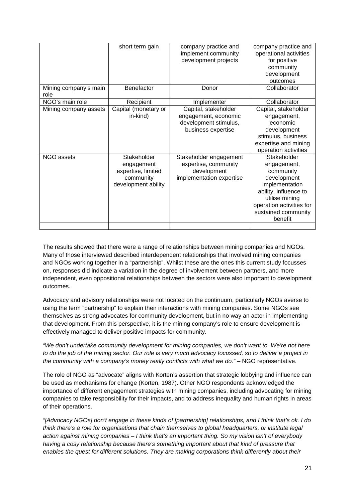|                               | short term gain                                                                     | company practice and<br>implement community<br>development projects                         | company practice and<br>operational activities<br>for positive<br>community<br>development<br>outcomes                                                                            |
|-------------------------------|-------------------------------------------------------------------------------------|---------------------------------------------------------------------------------------------|-----------------------------------------------------------------------------------------------------------------------------------------------------------------------------------|
| Mining company's main<br>role | Benefactor                                                                          | Donor                                                                                       | Collaborator                                                                                                                                                                      |
| NGO's main role               | Recipient                                                                           | Implementer                                                                                 | Collaborator                                                                                                                                                                      |
| Mining company assets         | Capital (monetary or<br>in-kind)                                                    | Capital, stakeholder<br>engagement, economic<br>development stimulus,<br>business expertise | Capital, stakeholder<br>engagement,<br>economic<br>development<br>stimulus, business<br>expertise and mining<br>operation activities                                              |
| NGO assets                    | Stakeholder<br>engagement<br>expertise, limited<br>community<br>development ability | Stakeholder engagement<br>expertise, community<br>development<br>implementation expertise   | Stakeholder<br>engagement,<br>community<br>development<br>implementation<br>ability, influence to<br>utilise mining<br>operation activities for<br>sustained community<br>benefit |
|                               |                                                                                     |                                                                                             |                                                                                                                                                                                   |

The results showed that there were a range of relationships between mining companies and NGOs. Many of those interviewed described interdependent relationships that involved mining companies and NGOs working together in a "partnership". Whilst these are the ones this current study focusses on, responses did indicate a variation in the degree of involvement between partners, and more independent, even oppositional relationships between the sectors were also important to development outcomes.

Advocacy and advisory relationships were not located on the continuum, particularly NGOs averse to using the term "partnership" to explain their interactions with mining companies. Some NGOs see themselves as strong advocates for community development, but in no way an actor in implementing that development. From this perspective, it is the mining company's role to ensure development is effectively managed to deliver positive impacts for community.

*"We don't undertake community development for mining companies, we don't want to. We're not here to do the job of the mining sector. Our role is very much advocacy focussed, so to deliver a project in the community with a company's money really conflicts with what we do."* – NGO representative.

The role of NGO as "advocate" aligns with Korten's assertion that strategic lobbying and influence can be used as mechanisms for change (Korten, 1987). Other NGO respondents acknowledged the importance of different engagement strategies with mining companies, including advocating for mining companies to take responsibility for their impacts, and to address inequality and human rights in areas of their operations.

*"[Advocacy NGOs] don't engage in these kinds of [partnership] relationships, and I think that's ok. I do think there's a role for organisations that chain themselves to global headquarters, or institute legal action against mining companies – I think that's an important thing. So my vision isn't of everybody having a cosy relationship because there's something important about that kind of pressure that enables the quest for different solutions. They are making corporations think differently about their*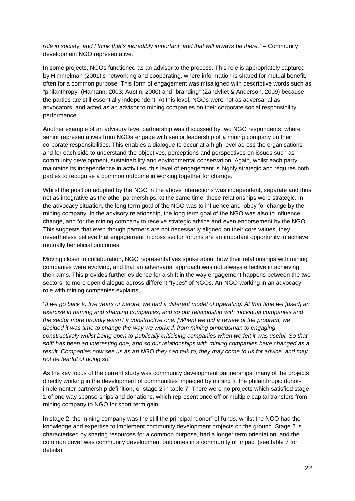role in society, and I think that's incredibly important, and that will always be there." – Community development NGO representative.

In some projects, NGOs functioned as an advisor to the process. This role is appropriately captured by Himmelman (2001)'s networking and cooperating, where information is shared for mutual benefit, often for a common purpose. This form of engagement was misaligned with descriptive words such as "philanthropy" (Hamann, 2003; Austin, 2000) and "branding" (Zandvliet & Anderson, 2009) because the parties are still essentially independent. At this level, NGOs were not as adversarial as advocators, and acted as an advisor to mining companies on their corporate social responsibility performance.

Another example of an advisory level partnership was discussed by two NGO respondents, where senior representatives from NGOs engage with senior leadership of a mining company on their corporate responsibilities. This enables a dialogue to occur at a high level across the organisations and for each side to understand the objectives, perceptions and perspectives on issues such as community development, sustainability and environmental conservation. Again, whilst each party maintains its independence in activities, this level of engagement is highly strategic and requires both parties to recognise a common outcome in working together for change.

Whilst the position adopted by the NGO in the above interactions was independent, separate and thus not as integrative as the other partnerships, at the same time, these relationships were strategic. In the advocacy situation, the long term goal of the NGO was to influence and lobby for change by the mining company. In the advisory relationship, the long term goal of the NGO was also to influence change, and for the mining company to receive strategic advice and even endorsement by the NGO. This suggests that even though partners are not necessarily aligned on their core values, they nevertheless believe that engagement in cross sector forums are an important opportunity to achieve mutually beneficial outcomes.

Moving closer to collaboration, NGO representatives spoke about how their relationships with mining companies were evolving, and that an adversarial approach was not always effective in achieving their aims. This provides further evidence for a shift in the way engagement happens between the two sectors, to more open dialogue across different "types" of NGOs. An NGO working in an advocacy role with mining companies explains,

*"If we go back to five years or before, we had a different model of operating. At that time we [used] an exercise in naming and shaming companies, and so our relationship with individual companies and the sector more broadly wasn't a constructive one. [When] we did a review of the program, we decided it was time to change the way we worked, from mining ombudsman to engaging constructively whilst being open to publically criticising companies when we felt it was useful. So that shift has been an interesting one, and so our relationships with mining companies have changed as a result. Companies now see us as an NGO they can talk to, they may come to us for advice, and may not be fearful of doing so".*

As the key focus of the current study was community development partnerships, many of the projects directly working in the development of communities impacted by mining fit the philanthropic donorimplementer partnership definition, or stage 2 in table 7. There were no projects which satisfied stage 1 of one way sponsorships and donations, which represent once off or multiple capital transfers from mining company to NGO for short term gain.

In stage 2, the mining company was the still the principal "donor" of funds, whilst the NGO had the knowledge and expertise to implement community development projects on the ground. Stage 2 is characterised by sharing resources for a common purpose, had a longer term orientation, and the common driver was community development outcomes in a community of impact (see table 7 for details).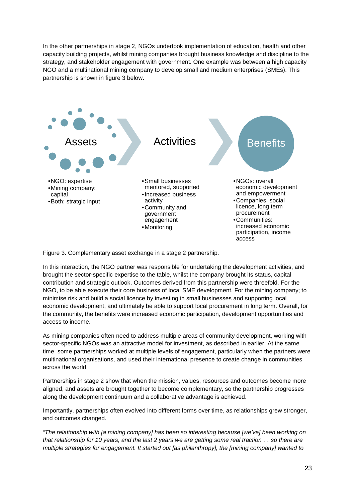In the other partnerships in stage 2, NGOs undertook implementation of education, health and other capacity building projects, whilst mining companies brought business knowledge and discipline to the strategy, and stakeholder engagement with government. One example was between a high capacity NGO and a multinational mining company to develop small and medium enterprises (SMEs). This partnership is shown in figure 3 below.



Figure 3. Complementary asset exchange in a stage 2 partnership.

In this interaction, the NGO partner was responsible for undertaking the development activities, and brought the sector-specific expertise to the table, whilst the company brought its status, capital contribution and strategic outlook. Outcomes derived from this partnership were threefold. For the NGO, to be able execute their core business of local SME development. For the mining company; to minimise risk and build a social licence by investing in small businesses and supporting local economic development, and ultimately be able to support local procurement in long term. Overall, for the community, the benefits were increased economic participation, development opportunities and access to income.

As mining companies often need to address multiple areas of community development, working with sector-specific NGOs was an attractive model for investment, as described in earlier. At the same time, some partnerships worked at multiple levels of engagement, particularly when the partners were multinational organisations, and used their international presence to create change in communities across the world.

Partnerships in stage 2 show that when the mission, values, resources and outcomes become more aligned, and assets are brought together to become complementary, so the partnership progresses along the development continuum and a collaborative advantage is achieved.

Importantly, partnerships often evolved into different forms over time, as relationships grew stronger, and outcomes changed.

*"The relationship with [a mining company] has been so interesting because [we've] been working on that relationship for 10 years, and the last 2 years we are getting some real traction … so there are multiple strategies for engagement. It started out [as philanthropy], the [mining company] wanted to*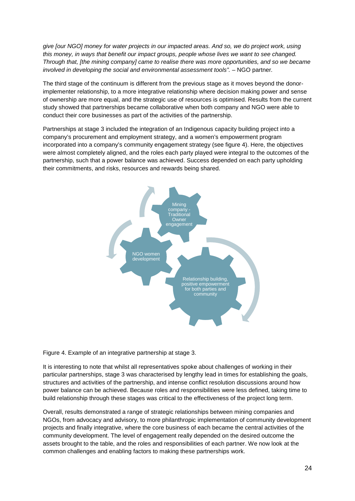*give [our NGO] money for water projects in our impacted areas. And so, we do project work, using this money, in ways that benefit our impact groups, people whose lives we want to see changed. Through that, [the mining company] came to realise there was more opportunities, and so we became involved in developing the social and environmental assessment tools".* - NGO partner.

The third stage of the continuum is different from the previous stage as it moves beyond the donorimplementer relationship, to a more integrative relationship where decision making power and sense of ownership are more equal, and the strategic use of resources is optimised. Results from the current study showed that partnerships became collaborative when both company and NGO were able to conduct their core businesses as part of the activities of the partnership.

Partnerships at stage 3 included the integration of an Indigenous capacity building project into a company's procurement and employment strategy, and a women's empowerment program incorporated into a company's community engagement strategy (see figure 4). Here, the objectives were almost completely aligned, and the roles each party played were integral to the outcomes of the partnership, such that a power balance was achieved. Success depended on each party upholding their commitments, and risks, resources and rewards being shared.



Figure 4. Example of an integrative partnership at stage 3.

It is interesting to note that whilst all representatives spoke about challenges of working in their particular partnerships, stage 3 was characterised by lengthy lead in times for establishing the goals, structures and activities of the partnership, and intense conflict resolution discussions around how power balance can be achieved. Because roles and responsibilities were less defined, taking time to build relationship through these stages was critical to the effectiveness of the project long term.

Overall, results demonstrated a range of strategic relationships between mining companies and NGOs, from advocacy and advisory, to more philanthropic implementation of community development projects and finally integrative, where the core business of each became the central activities of the community development. The level of engagement really depended on the desired outcome the assets brought to the table, and the roles and responsibilities of each partner. We now look at the common challenges and enabling factors to making these partnerships work.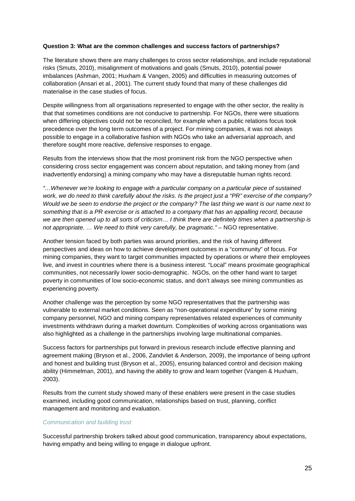# **Question 3: What are the common challenges and success factors of partnerships?**

The literature shows there are many challenges to cross sector relationships, and include reputational risks (Smuts, 2010), misalignment of motivations and goals (Smuts, 2010), potential power imbalances (Ashman, 2001; Huxham & Vangen, 2005) and difficulties in measuring outcomes of collaboration (Ansari et al., 2001). The current study found that many of these challenges did materialise in the case studies of focus.

Despite willingness from all organisations represented to engage with the other sector, the reality is that that sometimes conditions are not conducive to partnership. For NGOs, there were situations when differing objectives could not be reconciled, for example when a public relations focus took precedence over the long term outcomes of a project. For mining companies, it was not always possible to engage in a collaborative fashion with NGOs who take an adversarial approach, and therefore sought more reactive, defensive responses to engage.

Results from the interviews show that the most prominent risk from the NGO perspective when considering cross sector engagement was concern about reputation, and taking money from (and inadvertently endorsing) a mining company who may have a disreputable human rights record.

*"…Whenever we're looking to engage with a particular company on a particular piece of sustained work, we do need to think carefully about the risks. Is the project just a "PR" exercise of the company? Would we be seen to endorse the project or the company? The last thing we want is our name next to something that is a PR exercise or is attached to a company that has an appalling record, because we are then opened up to all sorts of criticism… I think there are definitely times when a partnership is not appropriate. … We need to think very carefully, be pragmatic."* – NGO representative.

Another tension faced by both parties was around priorities, and the risk of having different perspectives and ideas on how to achieve development outcomes in a "community" of focus. For mining companies, they want to target communities impacted by operations or where their employees live, and invest in countries where there is a business interest. "Local" means proximate geographical communities, not necessarily lower socio-demographic. NGOs, on the other hand want to target poverty in communities of low socio-economic status, and don't always see mining communities as experiencing poverty.

Another challenge was the perception by some NGO representatives that the partnership was vulnerable to external market conditions. Seen as "non-operational expenditure" by some mining company personnel, NGO and mining company representatives related experiences of community investments withdrawn during a market downturn. Complexities of working across organisations was also highlighted as a challenge in the partnerships involving large multinational companies.

Success factors for partnerships put forward in previous research include effective planning and agreement making (Bryson et al., 2006, Zandvliet & Anderson, 2009), the importance of being upfront and honest and building trust (Bryson et al., 2005), ensuring balanced control and decision making ability (Himmelman, 2001), and having the ability to grow and learn together (Vangen & Huxham, 2003).

Results from the current study showed many of these enablers were present in the case studies examined, including good communication, relationships based on trust, planning, conflict management and monitoring and evaluation.

#### *Communication and building trust*

Successful partnership brokers talked about good communication, transparency about expectations, having empathy and being willing to engage in dialogue upfront.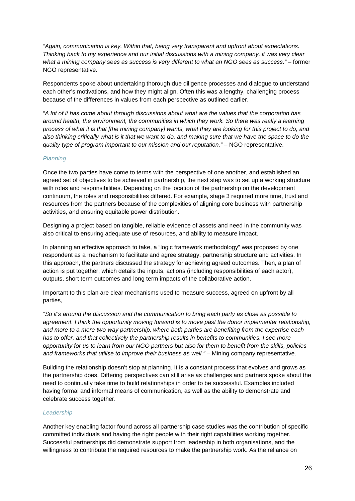*"Again, communication is key. Within that, being very transparent and upfront about expectations. Thinking back to my experience and our initial discussions with a mining company, it was very clear what a mining company sees as success is very different to what an NGO sees as success."* – former NGO representative.

Respondents spoke about undertaking thorough due diligence processes and dialogue to understand each other's motivations, and how they might align. Often this was a lengthy, challenging process because of the differences in values from each perspective as outlined earlier.

"*A lot of it has come about through discussions about what are the values that the corporation has around health, the environment, the communities in which they work. So there was really a learning process of what it is that [the mining company] wants, what they are looking for this project to do, and also thinking critically what is it that we want to do, and making sure that we have the space to do the quality type of program important to our mission and our reputation."* – NGO representative.

# *Planning*

Once the two parties have come to terms with the perspective of one another, and established an agreed set of objectives to be achieved in partnership, the next step was to set up a working structure with roles and responsibilities. Depending on the location of the partnership on the development continuum, the roles and responsibilities differed. For example, stage 3 required more time, trust and resources from the partners because of the complexities of aligning core business with partnership activities, and ensuring equitable power distribution.

Designing a project based on tangible, reliable evidence of assets and need in the community was also critical to ensuring adequate use of resources, and ability to measure impact.

In planning an effective approach to take, a "logic framework methodology" was proposed by one respondent as a mechanism to facilitate and agree strategy, partnership structure and activities. In this approach, the partners discussed the strategy for achieving agreed outcomes. Then, a plan of action is put together, which details the inputs, actions (including responsibilities of each actor), outputs, short term outcomes and long term impacts of the collaborative action.

Important to this plan are clear mechanisms used to measure success, agreed on upfront by all parties,

*"So it's around the discussion and the communication to bring each party as close as possible to agreement. I think the opportunity moving forward is to move past the donor implementer relationship, and more to a more two-way partnership, where both parties are benefiting from the expertise each has to offer, and that collectively the partnership results in benefits to communities. I see more opportunity for us to learn from our NGO partners but also for them to benefit from the skills, policies and frameworks that utilise to improve their business as well."* – Mining company representative.

Building the relationship doesn't stop at planning. It is a constant process that evolves and grows as the partnership does. Differing perspectives can still arise as challenges and partners spoke about the need to continually take time to build relationships in order to be successful. Examples included having formal and informal means of communication, as well as the ability to demonstrate and celebrate success together.

# *Leadership*

Another key enabling factor found across all partnership case studies was the contribution of specific committed individuals and having the right people with their right capabilities working together. Successful partnerships did demonstrate support from leadership in both organisations, and the willingness to contribute the required resources to make the partnership work. As the reliance on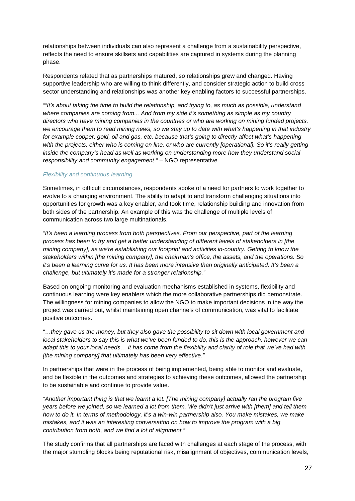relationships between individuals can also represent a challenge from a sustainability perspective, reflects the need to ensure skillsets and capabilities are captured in systems during the planning phase.

Respondents related that as partnerships matured, so relationships grew and changed. Having supportive leadership who are willing to think differently, and consider strategic action to build cross sector understanding and relationships was another key enabling factors to successful partnerships.

*""It's about taking the time to build the relationship, and trying to, as much as possible, understand where companies are coming from... And from my side it's something as simple as my country directors who have mining companies in the countries or who are working on mining funded projects, we encourage them to read mining news, so we stay up to date with what's happening in that industry for example copper, gold, oil and gas, etc. because that's going to directly affect what's happening with the projects, either who is coming on line, or who are currently [operational]. So it's really getting inside the company's head as well as working on understanding more how they understand social responsibility and community engagement."* – NGO representative.

# *Flexibility and continuous learning*

Sometimes, in difficult circumstances, respondents spoke of a need for partners to work together to evolve to a changing environment. The ability to adapt to and transform challenging situations into opportunities for growth was a key enabler, and took time, relationship building and innovation from both sides of the partnership. An example of this was the challenge of multiple levels of communication across two large multinationals.

*"It's been a learning process from both perspectives. From our perspective, part of the learning process has been to try and get a better understanding of different levels of stakeholders in [the mining company], as we're establishing our footprint and activities in-country. Getting to know the stakeholders within [the mining company], the chairman's office, the assets, and the operations. So it's been a learning curve for us. It has been more intensive than originally anticipated. It's been a challenge, but ultimately it's made for a stronger relationship."*

Based on ongoing monitoring and evaluation mechanisms established in systems, flexibility and continuous learning were key enablers which the more collaborative partnerships did demonstrate. The willingness for mining companies to allow the NGO to make important decisions in the way the project was carried out, whilst maintaining open channels of communication, was vital to facilitate positive outcomes.

"…*they gave us the money, but they also gave the possibility to sit down with local government and local stakeholders to say this is what we've been funded to do, this is the approach, however we can adapt this to your local needs… it has come from the flexibility and clarity of role that we've had with [the mining company] that ultimately has been very effective."*

In partnerships that were in the process of being implemented, being able to monitor and evaluate, and be flexible in the outcomes and strategies to achieving these outcomes, allowed the partnership to be sustainable and continue to provide value.

*"Another important thing is that we learnt a lot. [The mining company] actually ran the program five years before we joined, so we learned a lot from them. We didn't just arrive with [them] and tell them how to do it. In terms of methodology, it's a win-win partnership also. You make mistakes, we make mistakes, and it was an interesting conversation on how to improve the program with a big contribution from both, and we find a lot of alignment."* 

The study confirms that all partnerships are faced with challenges at each stage of the process, with the major stumbling blocks being reputational risk, misalignment of objectives, communication levels,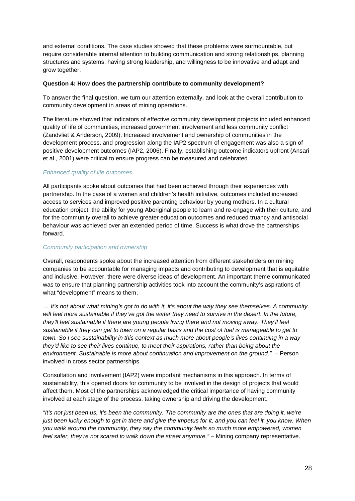and external conditions. The case studies showed that these problems were surmountable, but require considerable internal attention to building communication and strong relationships, planning structures and systems, having strong leadership, and willingness to be innovative and adapt and grow together.

### **Question 4: How does the partnership contribute to community development?**

To answer the final question, we turn our attention externally, and look at the overall contribution to community development in areas of mining operations.

The literature showed that indicators of effective community development projects included enhanced quality of life of communities, increased government involvement and less community conflict (Zandvliet & Anderson, 2009). Increased involvement and ownership of communities in the development process, and progression along the IAP2 spectrum of engagement was also a sign of positive development outcomes (IAP2, 2006). Finally, establishing outcome indicators upfront (Ansari et al., 2001) were critical to ensure progress can be measured and celebrated.

# *Enhanced quality of life outcomes*

All participants spoke about outcomes that had been achieved through their experiences with partnership. In the case of a women and children's health initiative, outcomes included increased access to services and improved positive parenting behaviour by young mothers. In a cultural education project, the ability for young Aboriginal people to learn and re-engage with their culture, and for the community overall to achieve greater education outcomes and reduced truancy and antisocial behaviour was achieved over an extended period of time. Success is what drove the partnerships forward.

# *Community participation and ownership*

Overall, respondents spoke about the increased attention from different stakeholders on mining companies to be accountable for managing impacts and contributing to development that is equitable and inclusive. However, there were diverse ideas of development. An important theme communicated was to ensure that planning partnership activities took into account the community's aspirations of what "development" means to them,

*… It's not about what mining's got to do with it, it's about the way they see themselves. A community will feel more sustainable if they've got the water they need to survive in the desert. In the future, they'll feel sustainable if there are young people living there and not moving away. They'll feel sustainable if they can get to town on a regular basis and the cost of fuel is manageable to get to town. So I see sustainability in this context as much more about people's lives continuing in a way they'd like to see their lives continue, to meet their aspirations, rather than being about the environment. Sustainable is more about continuation and improvement on the ground." – Person* involved in cross sector partnerships.

Consultation and involvement (IAP2) were important mechanisms in this approach. In terms of sustainability, this opened doors for community to be involved in the design of projects that would affect them. Most of the partnerships acknowledged the critical importance of having community involved at each stage of the process, taking ownership and driving the development.

*"It's not just been us, it's been the community. The community are the ones that are doing it, we're just been lucky enough to get in there and give the impetus for it, and you can feel it, you know. When you walk around the community, they say the community feels so much more empowered, women feel safer, they're not scared to walk down the street anymore."* – Mining company representative.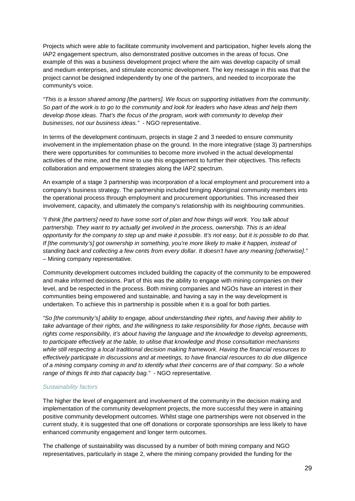Projects which were able to facilitate community involvement and participation, higher levels along the IAP2 engagement spectrum, also demonstrated positive outcomes in the areas of focus. One example of this was a business development project where the aim was develop capacity of small and medium enterprises, and stimulate economic development. The key message in this was that the project cannot be designed independently by one of the partners, and needed to incorporate the community's voice.

*"This is a lesson shared among [the partners]. We focus on supporting initiatives from the community. So part of the work is to go to the community and look for leaders who have ideas and help them develop those ideas. That's the focus of the program, work with community to develop their businesses, not our business ideas."* - NGO representative.

In terms of the development continuum, projects in stage 2 and 3 needed to ensure community involvement in the implementation phase on the ground. In the more integrative (stage 3) partnerships there were opportunities for communities to become more involved in the actual developmental activities of the mine, and the mine to use this engagement to further their objectives. This reflects collaboration and empowerment strategies along the IAP2 spectrum.

An example of a stage 3 partnership was incorporation of a local employment and procurement into a company's business strategy. The partnership included bringing Aboriginal community members into the operational process through employment and procurement opportunities. This increased their involvement, capacity, and ultimately the company's relationship with its neighbouring communities.

*"I think [the partners] need to have some sort of plan and how things will work. You talk about partnership. They want to try actually get involved in the process, ownership. This is an ideal opportunity for the company to step up and make it possible. It's not easy, but it is possible to do that. If [the community's] got ownership in something, you're more likely to make it happen, instead of standing back and collecting a few cents from every dollar. It doesn't have any meaning [otherwise]."* – Mining company representative.

Community development outcomes included building the capacity of the community to be empowered and make informed decisions. Part of this was the ability to engage with mining companies on their level, and be respected in the process. Both mining companies and NGOs have an interest in their communities being empowered and sustainable, and having a say in the way development is undertaken. To achieve this in partnership is possible when it is a goal for both parties.

*"So [the community's] ability to engage, about understanding their rights, and having their ability to take advantage of their rights, and the willingness to take responsibility for those rights, because with rights come responsibility, it's about having the language and the knowledge to develop agreements, to participate effectively at the table, to utilise that knowledge and those consultation mechanisms while still respecting a local traditional decision making framework. Having the financial resources to effectively participate in discussions and at meetings, to have financial resources to do due diligence of a mining company coming in and to identify what their concerns are of that company. So a whole range of things fit into that capacity bag."* - NGO representative.

# *Sustainability factors*

The higher the level of engagement and involvement of the community in the decision making and implementation of the community development projects, the more successful they were in attaining positive community development outcomes. Whilst stage one partnerships were not observed in the current study, it is suggested that one off donations or corporate sponsorships are less likely to have enhanced community engagement and longer term outcomes.

The challenge of sustainability was discussed by a number of both mining company and NGO representatives, particularly in stage 2, where the mining company provided the funding for the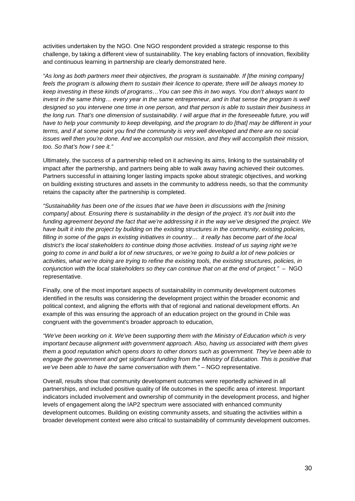activities undertaken by the NGO. One NGO respondent provided a strategic response to this challenge, by taking a different view of sustainability. The key enabling factors of innovation, flexibility and continuous learning in partnership are clearly demonstrated here.

*"As long as both partners meet their objectives, the program is sustainable. If [the mining company] feels the program is allowing them to sustain their licence to operate, there will be always money to keep investing in these kinds of programs…You can see this in two ways. You don't always want to invest in the same thing... every year in the same entrepreneur, and in that sense the program is well designed so you intervene one time in one person, and that person is able to sustain their business in the long run. That's one dimension of sustainability. I will argue that in the foreseeable future, you will have to help your community to keep developing, and the program to do [that] may be different in your terms, and if at some point you find the community is very well developed and there are no social issues well then you're done. And we accomplish our mission, and they will accomplish their mission, too. So that's how I see it."* 

Ultimately, the success of a partnership relied on it achieving its aims, linking to the sustainability of impact after the partnership, and partners being able to walk away having achieved their outcomes. Partners successful in attaining longer lasting impacts spoke about strategic objectives, and working on building existing structures and assets in the community to address needs, so that the community retains the capacity after the partnership is completed.

*"Sustainability has been one of the issues that we have been in discussions with the [mining company] about. Ensuring there is sustainability in the design of the project. It's not built into the funding agreement beyond the fact that we're addressing it in the way we've designed the project. We have built it into the project by building on the existing structures in the community, existing policies, filling in some of the gaps in existing initiatives in country… it really has become part of the local district's the local stakeholders to continue doing those activities. Instead of us saying right we're going to come in and build a lot of new structures, or we're going to build a lot of new policies or activities, what we're doing are trying to refine the existing tools, the existing structures, policies, in conjunction with the local stakeholders so they can continue that on at the end of project."* – NGO representative.

Finally, one of the most important aspects of sustainability in community development outcomes identified in the results was considering the development project within the broader economic and political context, and aligning the efforts with that of regional and national development efforts. An example of this was ensuring the approach of an education project on the ground in Chile was congruent with the government's broader approach to education,

*"We've been working on it. We've been supporting them with the Ministry of Education which is very important because alignment with government approach. Also, having us associated with them gives them a good reputation which opens doors to other donors such as government. They've been able to engage the government and get significant funding from the Ministry of Education. This is positive that we've been able to have the same conversation with them."* – NGO representative.

Overall, results show that community development outcomes were reportedly achieved in all partnerships, and included positive quality of life outcomes in the specific area of interest. Important indicators included involvement and ownership of community in the development process, and higher levels of engagement along the IAP2 spectrum were associated with enhanced community development outcomes. Building on existing community assets, and situating the activities within a broader development context were also critical to sustainability of community development outcomes.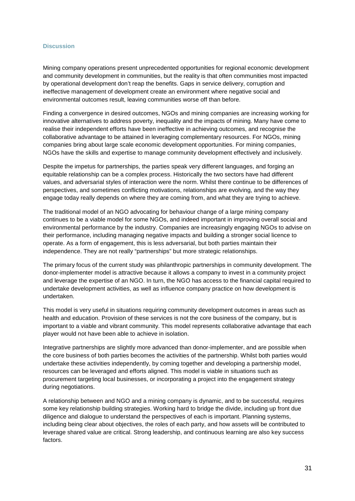#### <span id="page-31-0"></span>**Discussion**

Mining company operations present unprecedented opportunities for regional economic development and community development in communities, but the reality is that often communities most impacted by operational development don't reap the benefits. Gaps in service delivery, corruption and ineffective management of development create an environment where negative social and environmental outcomes result, leaving communities worse off than before.

Finding a convergence in desired outcomes, NGOs and mining companies are increasing working for innovative alternatives to address poverty, inequality and the impacts of mining. Many have come to realise their independent efforts have been ineffective in achieving outcomes, and recognise the collaborative advantage to be attained in leveraging complementary resources. For NGOs, mining companies bring about large scale economic development opportunities. For mining companies, NGOs have the skills and expertise to manage community development effectively and inclusively.

Despite the impetus for partnerships, the parties speak very different languages, and forging an equitable relationship can be a complex process. Historically the two sectors have had different values, and adversarial styles of interaction were the norm. Whilst there continue to be differences of perspectives, and sometimes conflicting motivations, relationships are evolving, and the way they engage today really depends on where they are coming from, and what they are trying to achieve.

The traditional model of an NGO advocating for behaviour change of a large mining company continues to be a viable model for some NGOs, and indeed important in improving overall social and environmental performance by the industry. Companies are increasingly engaging NGOs to advise on their performance, including managing negative impacts and building a stronger social licence to operate. As a form of engagement, this is less adversarial, but both parties maintain their independence. They are not really "partnerships" but more strategic relationships.

The primary focus of the current study was philanthropic partnerships in community development. The donor-implementer model is attractive because it allows a company to invest in a community project and leverage the expertise of an NGO. In turn, the NGO has access to the financial capital required to undertake development activities, as well as influence company practice on how development is undertaken.

This model is very useful in situations requiring community development outcomes in areas such as health and education. Provision of these services is not the core business of the company, but is important to a viable and vibrant community. This model represents collaborative advantage that each player would not have been able to achieve in isolation.

Integrative partnerships are slightly more advanced than donor-implementer, and are possible when the core business of both parties becomes the activities of the partnership. Whilst both parties would undertake these activities independently, by coming together and developing a partnership model, resources can be leveraged and efforts aligned. This model is viable in situations such as procurement targeting local businesses, or incorporating a project into the engagement strategy during negotiations.

A relationship between and NGO and a mining company is dynamic, and to be successful, requires some key relationship building strategies. Working hard to bridge the divide, including up front due diligence and dialogue to understand the perspectives of each is important. Planning systems, including being clear about objectives, the roles of each party, and how assets will be contributed to leverage shared value are critical. Strong leadership, and continuous learning are also key success factors.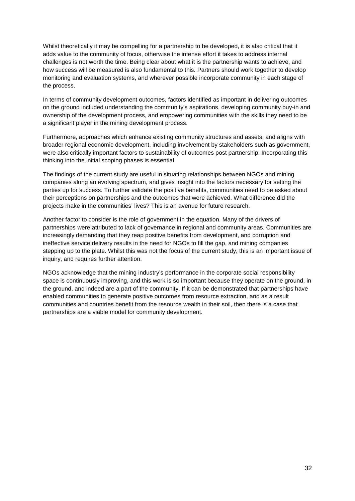Whilst theoretically it may be compelling for a partnership to be developed, it is also critical that it adds value to the community of focus, otherwise the intense effort it takes to address internal challenges is not worth the time. Being clear about what it is the partnership wants to achieve, and how success will be measured is also fundamental to this. Partners should work together to develop monitoring and evaluation systems, and wherever possible incorporate community in each stage of the process.

In terms of community development outcomes, factors identified as important in delivering outcomes on the ground included understanding the community's aspirations, developing community buy-in and ownership of the development process, and empowering communities with the skills they need to be a significant player in the mining development process.

Furthermore, approaches which enhance existing community structures and assets, and aligns with broader regional economic development, including involvement by stakeholders such as government, were also critically important factors to sustainability of outcomes post partnership. Incorporating this thinking into the initial scoping phases is essential.

The findings of the current study are useful in situating relationships between NGOs and mining companies along an evolving spectrum, and gives insight into the factors necessary for setting the parties up for success. To further validate the positive benefits, communities need to be asked about their perceptions on partnerships and the outcomes that were achieved. What difference did the projects make in the communities' lives? This is an avenue for future research.

Another factor to consider is the role of government in the equation. Many of the drivers of partnerships were attributed to lack of governance in regional and community areas. Communities are increasingly demanding that they reap positive benefits from development, and corruption and ineffective service delivery results in the need for NGOs to fill the gap, and mining companies stepping up to the plate. Whilst this was not the focus of the current study, this is an important issue of inquiry, and requires further attention.

NGOs acknowledge that the mining industry's performance in the corporate social responsibility space is continuously improving, and this work is so important because they operate on the ground, in the ground, and indeed are a part of the community. If it can be demonstrated that partnerships have enabled communities to generate positive outcomes from resource extraction, and as a result communities and countries benefit from the resource wealth in their soil, then there is a case that partnerships are a viable model for community development.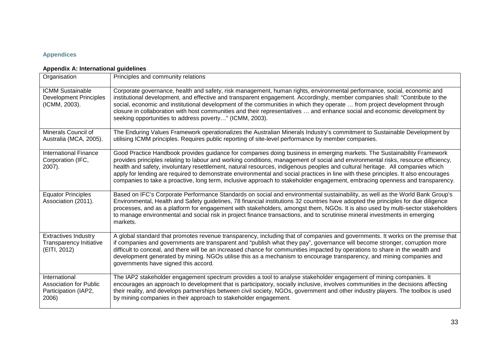# **Appendices**

# **Appendix A: International guidelines**

<span id="page-33-1"></span><span id="page-33-0"></span>

| Organisation                                                                    | Principles and community relations                                                                                                                                                                                                                                                                                                                                                                                                                                                                                                                                                                                                                                  |
|---------------------------------------------------------------------------------|---------------------------------------------------------------------------------------------------------------------------------------------------------------------------------------------------------------------------------------------------------------------------------------------------------------------------------------------------------------------------------------------------------------------------------------------------------------------------------------------------------------------------------------------------------------------------------------------------------------------------------------------------------------------|
| <b>ICMM Sustainable</b><br><b>Development Principles</b><br>(ICMM, 2003).       | Corporate governance, health and safety, risk management, human rights, environmental performance, social, economic and<br>institutional development, and effective and transparent engagement. Accordingly, member companies shall: "Contribute to the<br>social, economic and institutional development of the communities in which they operate  from project development through<br>closure in collaboration with host communities and their representatives  and enhance social and economic development by<br>seeking opportunities to address poverty" (ICMM, 2003).                                                                                         |
| Minerals Council of<br>Australia (MCA, 2005).                                   | The Enduring Values Framework operationalizes the Australian Minerals Industry's commitment to Sustainable Development by<br>utilising ICMM principles. Requires public reporting of site-level performance by member companies.                                                                                                                                                                                                                                                                                                                                                                                                                                    |
| <b>International Finance</b><br>Corporation (IFC,<br>$2007$ ).                  | Good Practice Handbook provides guidance for companies doing business in emerging markets. The Sustainability Framework<br>provides principles relating to labour and working conditions, management of social and environmental risks, resource efficiency,<br>health and safety, involuntary resettlement, natural resources, indigenous peoples and cultural heritage. All companies which<br>apply for lending are required to demonstrate environmental and social practices in line with these principles. It also encourages<br>companies to take a proactive, long term, inclusive approach to stakeholder engagement, embracing openness and transparency. |
| <b>Equator Principles</b><br>Association (2011).                                | Based on IFC's Corporate Performance Standards on social and environmental sustainability, as well as the World Bank Group's<br>Environmental, Health and Safety guidelines, 78 financial institutions 32 countries have adopted the principles for due diligence<br>processes, and as a platform for engagement with stakeholders, amongst them, NGOs. It is also used by multi-sector stakeholders<br>to manage environmental and social risk in project finance transactions, and to scrutinise mineral investments in emerging<br>markets.                                                                                                                      |
| <b>Extractives Industry</b><br><b>Transparency Initiative</b><br>(EITI, 2012)   | A global standard that promotes revenue transparency, including that of companies and governments. It works on the premise that<br>if companies and governments are transparent and "publish what they pay", governance will become stronger, corruption more<br>difficult to conceal, and there will be an increased chance for communities impacted by operations to share in the wealth and<br>development generated by mining. NGOs utilise this as a mechanism to encourage transparency, and mining companies and<br>governments have signed this accord.                                                                                                     |
| International<br><b>Association for Public</b><br>Participation (IAP2,<br>2006) | The IAP2 stakeholder engagement spectrum provides a tool to analyse stakeholder engagement of mining companies. It<br>encourages an approach to development that is participatory, socially inclusive, involves communities in the decisions affecting<br>their reality, and develops partnerships between civil society, NGOs, government and other industry players. The toolbox is used<br>by mining companies in their approach to stakeholder engagement.                                                                                                                                                                                                      |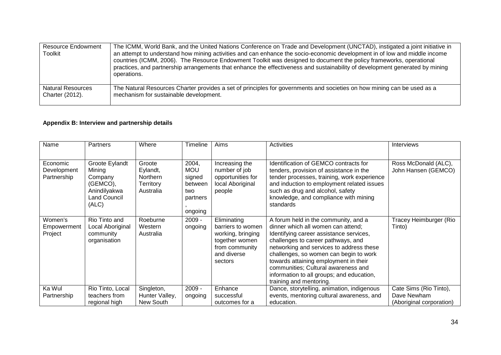| <b>Resource Endowment</b><br>Toolkit | The ICMM, World Bank, and the United Nations Conference on Trade and Development (UNCTAD), instigated a joint initiative in<br>an attempt to understand how mining activities and can enhance the socio-economic development in of low and middle income<br>countries (ICMM, 2006). The Resource Endowment Toolkit was designed to document the policy frameworks, operational<br>practices, and partnership arrangements that enhance the effectiveness and sustainability of development generated by mining<br>operations. |
|--------------------------------------|-------------------------------------------------------------------------------------------------------------------------------------------------------------------------------------------------------------------------------------------------------------------------------------------------------------------------------------------------------------------------------------------------------------------------------------------------------------------------------------------------------------------------------|
| <b>Natural Resources</b>             | The Natural Resources Charter provides a set of principles for governments and societies on how mining can be used as a                                                                                                                                                                                                                                                                                                                                                                                                       |
| Charter (2012).                      | mechanism for sustainable development.                                                                                                                                                                                                                                                                                                                                                                                                                                                                                        |

# **Appendix B: Interview and partnership details**

<span id="page-34-0"></span>

| Name                                   | <b>Partners</b>                                                                          | Where                                                                  | Timeline                                                               | Aims                                                                                                                | <b>Activities</b>                                                                                                                                                                                                                                                                                                                                                                                         | <b>Interviews</b>                                                 |
|----------------------------------------|------------------------------------------------------------------------------------------|------------------------------------------------------------------------|------------------------------------------------------------------------|---------------------------------------------------------------------------------------------------------------------|-----------------------------------------------------------------------------------------------------------------------------------------------------------------------------------------------------------------------------------------------------------------------------------------------------------------------------------------------------------------------------------------------------------|-------------------------------------------------------------------|
| Economic<br>Development<br>Partnership | Groote Eylandt<br>Mining<br>Company<br>(GEMCO),<br>Anindilyakwa<br>Land Council<br>(ALC) | Groote<br>Eylandt,<br><b>Northern</b><br><b>Territory</b><br>Australia | 2004,<br><b>MOU</b><br>signed<br>between<br>two<br>partners<br>ongoing | Increasing the<br>number of job<br>opportunities for<br>local Aboriginal<br>people                                  | Identification of GEMCO contracts for<br>tenders, provision of assistance in the<br>tender processes, training, work experience<br>and induction to employment related issues<br>such as drug and alcohol, safety<br>knowledge, and compliance with mining<br>standards                                                                                                                                   | Ross McDonald (ALC),<br>John Hansen (GEMCO)                       |
| Women's<br>Empowerment<br>Project      | Rio Tinto and<br>Local Aboriginal<br>community<br>organisation                           | Roeburne<br>Western<br>Australia                                       | $2009 -$<br>ongoing                                                    | Eliminating<br>barriers to women<br>working, bringing<br>together women<br>from community<br>and diverse<br>sectors | A forum held in the community, and a<br>dinner which all women can attend;<br>Identifying career assistance services,<br>challenges to career pathways, and<br>networking and services to address these<br>challenges, so women can begin to work<br>towards attaining employment in their<br>communities; Cultural awareness and<br>information to all groups; and education,<br>training and mentoring. | Tracey Heimburger (Rio<br>Tinto)                                  |
| Ka Wul<br>Partnership                  | Rio Tinto, Local<br>teachers from<br>regional high                                       | Singleton,<br>Hunter Valley,<br>New South                              | $2009 -$<br>ongoing                                                    | Enhance<br>successful<br>outcomes for a                                                                             | Dance, storytelling, animation, indigenous<br>events, mentoring cultural awareness, and<br>education.                                                                                                                                                                                                                                                                                                     | Cate Sims (Rio Tinto),<br>Dave Newham<br>(Aboriginal corporation) |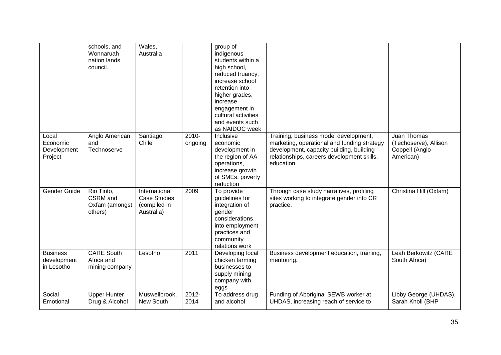|                                              | schools, and<br>Wonnaruah<br>nation lands<br>council. | Wales,<br>Australia                                                |                     | group of<br>indigenous<br>students within a<br>high school,<br>reduced truancy,<br>increase school<br>retention into<br>higher grades,<br>increase<br>engagement in<br>cultural activities<br>and events such<br>as NAIDOC week |                                                                                                                                                                                              |                                                                     |
|----------------------------------------------|-------------------------------------------------------|--------------------------------------------------------------------|---------------------|---------------------------------------------------------------------------------------------------------------------------------------------------------------------------------------------------------------------------------|----------------------------------------------------------------------------------------------------------------------------------------------------------------------------------------------|---------------------------------------------------------------------|
| Local<br>Economic<br>Development<br>Project  | Anglo American<br>and<br>Technoserve                  | Santiago,<br>Chile                                                 | $2010 -$<br>ongoing | Inclusive<br>economic<br>development in<br>the region of AA<br>operations,<br>increase growth<br>of SMEs, poverty<br>reduction                                                                                                  | Training, business model development,<br>marketing, operational and funding strategy<br>development, capacity building, building<br>relationships, careers development skills,<br>education. | Juan Thomas<br>(Techoserve), Allison<br>Coppell (Anglo<br>American) |
| Gender Guide                                 | Rio Tinto,<br>CSRM and<br>Oxfam (amongst<br>others)   | International<br><b>Case Studies</b><br>(compiled in<br>Australia) | 2009                | To provide<br>guidelines for<br>integration of<br>gender<br>considerations<br>into employment<br>practices and<br>community<br>relations work                                                                                   | Through case study narratives, profiling<br>sites working to integrate gender into CR<br>practice.                                                                                           | Christina Hill (Oxfam)                                              |
| <b>Business</b><br>development<br>in Lesotho | <b>CARE South</b><br>Africa and<br>mining company     | Lesotho                                                            | 2011                | Developing local<br>chicken farming<br>businesses to<br>supply mining<br>company with<br>eggs                                                                                                                                   | Business development education, training,<br>mentoring.                                                                                                                                      | Leah Berkowitz (CARE<br>South Africa)                               |
| Social<br>Emotional                          | <b>Upper Hunter</b><br>Drug & Alcohol                 | Muswellbrook,<br><b>New South</b>                                  | 2012-<br>2014       | To address drug<br>and alcohol                                                                                                                                                                                                  | Funding of Aboriginal SEWB worker at<br>UHDAS, increasing reach of service to                                                                                                                | Libby George (UHDAS),<br>Sarah Knoll (BHP                           |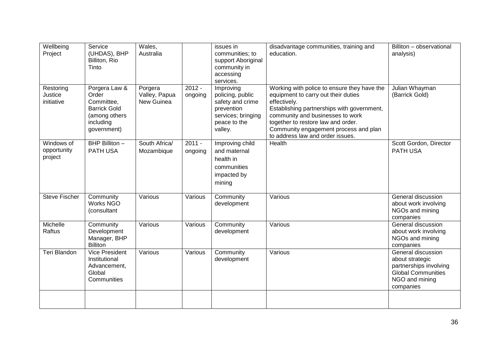| Wellbeing<br>Project                 | Service<br>(UHDAS), BHP<br>Billiton, Rio<br>Tinto                                                        | Wales,<br>Australia                    |                     | issues in<br>communities; to<br>support Aboriginal<br>community in<br>accessing<br>services.                     | disadvantage communities, training and<br>education.                                                                                                                                                                                                                                                    | Billiton - observational<br>analysis)                                                                                       |
|--------------------------------------|----------------------------------------------------------------------------------------------------------|----------------------------------------|---------------------|------------------------------------------------------------------------------------------------------------------|---------------------------------------------------------------------------------------------------------------------------------------------------------------------------------------------------------------------------------------------------------------------------------------------------------|-----------------------------------------------------------------------------------------------------------------------------|
| Restoring<br>Justice<br>initiative   | Porgera Law &<br>Order<br>Committee,<br><b>Barrick Gold</b><br>(among others<br>including<br>government) | Porgera<br>Valley, Papua<br>New Guinea | $2012 -$<br>ongoing | Improving<br>policing, public<br>safety and crime<br>prevention<br>services; bringing<br>peace to the<br>valley. | Working with police to ensure they have the<br>equipment to carry out their duties<br>effectively.<br>Establishing partnerships with government,<br>community and businesses to work<br>together to restore law and order.<br>Community engagement process and plan<br>to address law and order issues. | Julian Whayman<br>(Barrick Gold)                                                                                            |
| Windows of<br>opportunity<br>project | BHP Billiton -<br><b>PATH USA</b>                                                                        | South Africa/<br>Mozambique            | $2011 -$<br>ongoing | Improving child<br>and maternal<br>health in<br>communities<br>impacted by<br>mining                             | Health                                                                                                                                                                                                                                                                                                  | Scott Gordon, Director<br><b>PATH USA</b>                                                                                   |
| <b>Steve Fischer</b>                 | Community<br><b>Works NGO</b><br>(consultant                                                             | Various                                | Various             | Community<br>development                                                                                         | Various                                                                                                                                                                                                                                                                                                 | General discussion<br>about work involving<br>NGOs and mining<br>companies                                                  |
| Michelle<br>Raftus                   | Community<br>Development<br>Manager, BHP<br><b>Billiton</b>                                              | Various                                | Various             | Community<br>development                                                                                         | Various                                                                                                                                                                                                                                                                                                 | General discussion<br>about work involving<br>NGOs and mining<br>companies                                                  |
| Teri Blandon                         | <b>Vice President</b><br>Institutional<br>Advancement,<br>Global<br>Communities                          | Various                                | Various             | Community<br>development                                                                                         | Various                                                                                                                                                                                                                                                                                                 | General discussion<br>about strategic<br>partnerships involving<br><b>Global Communities</b><br>NGO and mining<br>companies |
|                                      |                                                                                                          |                                        |                     |                                                                                                                  |                                                                                                                                                                                                                                                                                                         |                                                                                                                             |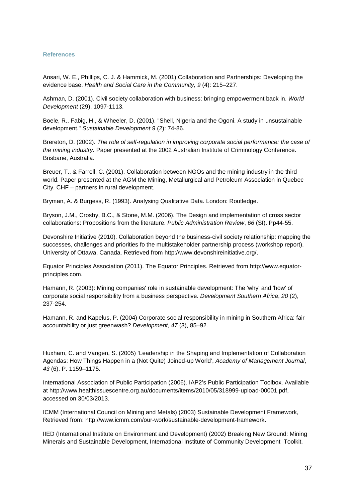#### <span id="page-37-0"></span>**References**

Ansari, W. E., Phillips, C. J. & Hammick, M. (2001) Collaboration and Partnerships: Developing the evidence base. *Health and Social Care in the Community, 9* (4): 215–227.

Ashman, D. (2001). Civil society collaboration with business: bringing empowerment back in. *World Development* (29), 1097-1113.

Boele, R., Fabig, H., & Wheeler, D. (2001). "Shell, Nigeria and the Ogoni. A study in unsustainable development." *Sustainable Development 9* (2): 74-86.

Brereton, D. (2002). *The role of self-regulation in improving corporate social performance: the case of the mining industry.* Paper presented at the 2002 Australian Institute of Criminology Conference. Brisbane, Australia.

Breuer, T., & Farrell, C. (2001). Collaboration between NGOs and the mining industry in the third world. Paper presented at the AGM the Mining, Metallurgical and Petroleum Association in Quebec City. CHF – partners in rural development.

Bryman, A. & Burgess, R. (1993). Analysing Qualitative Data. London: Routledge.

Bryson, J.M., Crosby, B.C., & Stone, M.M. (2006). The Design and implementation of cross sector collaborations: Propositions from the literature. *Public Administration Review*, *66* (SI). Pp44-55.

Devonshire Initiative (2010). Collaboration beyond the business-civil society relationship: mapping the successes, challenges and priorities fo the multistakeholder partnership process (workshop report). University of Ottawa, Canada. Retrieved from [http://www.devonshireinitiative.org/.](http://www.devonshireinitiative.org/)

Equator Principles Association (2011). The Equator Principles. Retrieved from [http://www.equator](http://www.equator-principles.com/)[principles.com.](http://www.equator-principles.com/)

Hamann, R. (2003): Mining companies' role in sustainable development: The 'why' and 'how' of corporate social responsibility from a business perspective. *Development Southern Africa*, *20* (2), 237-254.

Hamann, R. and Kapelus, P. (2004) Corporate social responsibility in mining in Southern Africa: fair accountability or just greenwash? *Development*, *47* (3), 85–92.

Huxham, C. and Vangen, S. (2005) 'Leadership in the Shaping and Implementation of Collaboration Agendas: How Things Happen in a (Not Quite) Joined-up World', *Academy of Management Journal*, *43* (6). P. 1159–1175.

International Association of Public Participation (2006). IAP2's Public Participation Toolbox. Available at http://www.healthissuescentre.org.au/documents/items/2010/05/318999-upload-00001.pdf, accessed on 30/03/2013.

ICMM (International Council on Mining and Metals) (2003) Sustainable Development Framework, Retrieved from: [http://www.icmm.com/our-work/sustainable-development-](http://www.icmm.com/our-work/sustainable-development)framework.

IIED (International Institute on Environment and Development) (2002) Breaking New Ground: Mining Minerals and Sustainable Development, International Institute of Community Development Toolkit.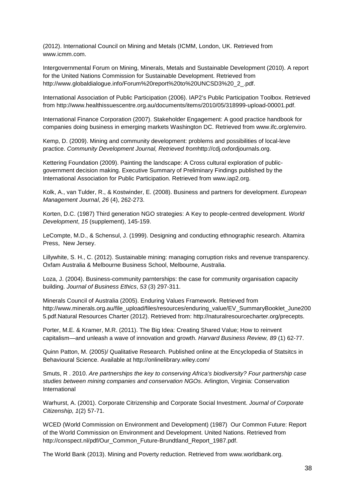(2012). International Council on Mining and Metals (ICMM, London, UK. Retrieved from [www.icmm.com.](http://www.icmm.com/)

Intergovernmental Forum on Mining, Minerals, Metals and Sustainable Development (2010). A report for the United Nations Commission for Sustainable Development. Retrieved from [http://www.globaldialogue.info/Forum%20report%20to%20UNCSD3%20\\_2\\_.pdf.](http://www.globaldialogue.info/Forum%20report%20to%20UNCSD3%20_2_.pdf)

International Association of Public Participation (2006). IAP2's Public Participation Toolbox. Retrieved from http://www.healthissuescentre.org.au/documents/items/2010/05/318999-upload-00001.pdf.

International Finance Corporation (2007). Stakeholder Engagement: A good practice handbook for companies doing business in emerging markets Washington DC. Retrieved from [www.ifc.org/enviro.](http://www.ifc.org/enviro)

Kemp, D. (2009). Mining and community development: problems and possibilities of local-leve practice. *Community Development Journal, Retrieved from*[http://cdj.oxfordjournals.org.](http://cdj.oxfordjournals.org/)

Kettering Foundation (2009). Painting the landscape: A Cross cultural exploration of publicgovernment decision making. Executive Summary of Preliminary Findings published by the International Association for Public Participation. Retrieved from www.iap2.org.

Kolk, A., van Tulder, R., & Kostwinder, E. (2008). Business and partners for development. *European Management Journal*, *26* (4), 262-273.

Korten, D.C. (1987) Third generation NGO strategies: A Key to people-centred development. *World Development*, *15* (supplement), 145-159.

LeCompte, M.D., & Schensul, J. (1999). Designing and conducting ethnographic research. Altamira Press, New Jersey.

Lillywhite, S. H., C. (2012). Sustainable mining: managing corruption risks and revenue transparency. Oxfam Australia & Melbourne Business School, Melbourne, Australia.

Loza, J. (2004). Business-community parnterships: the case for community organisation capacity building. *Journal of Business Ethics*, *53* (3) 297-311.

Minerals Council of Australia (2005). Enduring Values Framework. Retrieved from [http://www.minerals.org.au/file\\_upload/files/resources/enduring\\_value/EV\\_SummaryBooklet\\_June200](http://www.minerals.org.au/file_upload/files/resources/enduring_value/EV_SummaryBooklet_June2005.pdf) [5.pdf.](http://www.minerals.org.au/file_upload/files/resources/enduring_value/EV_SummaryBooklet_June2005.pdf)Natural Resources Charter (2012). Retrieved from:<http://naturalresourcecharter.org/precepts.>

Porter, M.E. & Kramer, M.R. (2011). The Big Idea: Creating Shared Value; How to reinvent capitalism—and unleash a wave of innovation and growth. *Harvard Business Review, 89* (1) 62-77.

Quinn Patton, M. (2005)/ Qualitative Research. Published online at the Encyclopedia of Statsitcs in Behavioural Science. Available at<http://onlinelibrary.wiley.com/>

Smuts, R . 2010. *Are partnerships the key to conserving Africa's biodiversity? Four partnership case studies between mining companies and conservation NGOs*. Arlington, Virginia: Conservation International

Warhurst, A. (2001). Corporate Citrizenship and Corporate Social Investment. *Journal of Corporate Citizenship, 1*(2) 57-71.

WCED (World Commission on Environment and Development) (1987) Our Common Future: Report of the World Commission on Environment and Development. United Nations. Retrieved from [http://conspect.nl/pdf/Our\\_Common\\_Future-Brundtland\\_Report\\_1987.pdf.](http://conspect.nl/pdf/Our_Common_Future-Brundtland_Report_1987.pdf)

The World Bank (2013). Mining and Poverty reduction. Retrieved from [www.worldbank.org.](http://www.worldbank.org/)